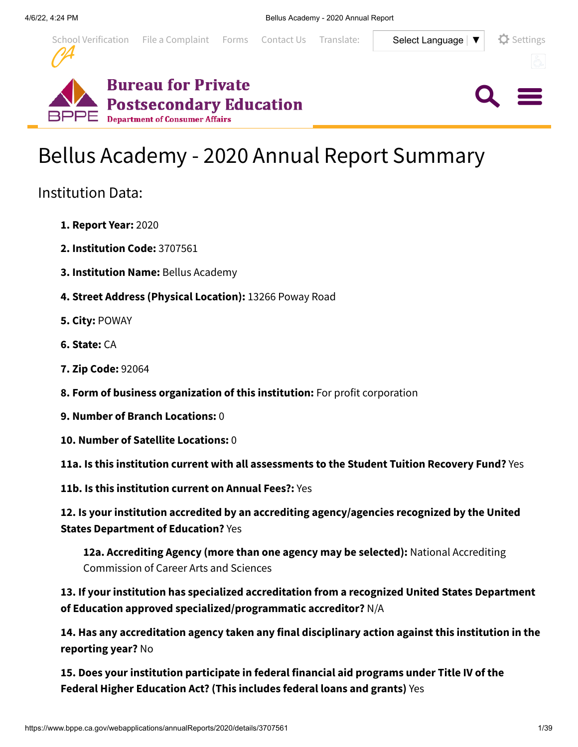

 $Q \equiv$ 



# Bellus Academy - 2020 Annual Report Summary

# Institution Data:

- **1. Report Year:** 2020
- **2. Institution Code:** 3707561
- **3. Institution Name:** Bellus Academy
- **4. Street Address (Physical Location):** 13266 Poway Road
- **5. City:** POWAY
- **6. State:** CA
- **7. Zip Code:** 92064
- **8. Form of business organization of this institution:** For profit corporation
- **9. Number of Branch Locations:** 0
- **10. Number of Satellite Locations:** 0
- **11a. Is this institution current with all assessments to the Student Tuition Recovery Fund?** Yes
- **11b. Is this institution current on Annual Fees?:** Yes

**12. Is your institution accredited by an accrediting agency/agencies recognized by the United States Department of Education?** Yes

**12a. Accrediting Agency (more than one agency may be selected):** National Accrediting Commission of Career Arts and Sciences

**13. If your institution has specialized accreditation from a recognized United States Department of Education approved specialized/programmatic accreditor?** N/A

**14. Has any accreditation agency taken any final disciplinary action against this institution in the reporting year?** No

**15. Does your institution participate in federal financial aid programs under Title IV of the Federal Higher Education Act? (This includes federal loans and grants)** Yes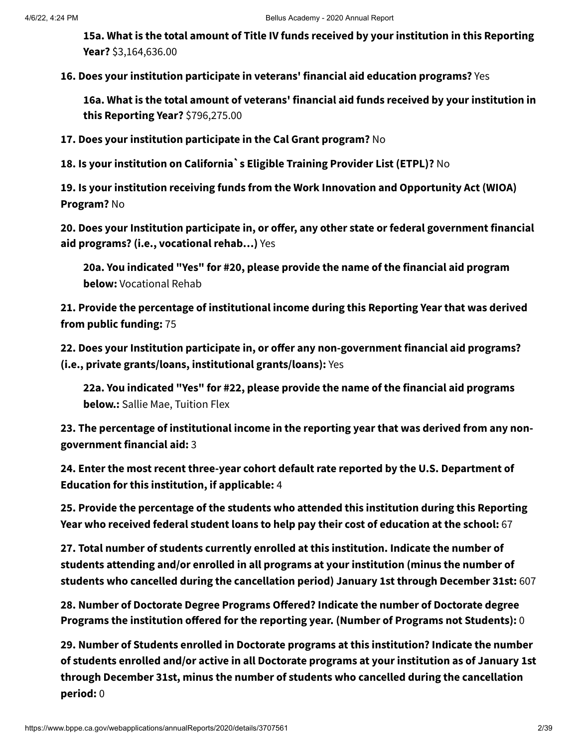**15a. What is the total amount of Title IV funds received by your institution in this Reporting Year?** \$3,164,636.00

**16. Does your institution participate in veterans' financial aid education programs?** Yes

**16a. What is the total amount of veterans' financial aid funds received by your institution in this Reporting Year?** \$796,275.00

**17. Does your institution participate in the Cal Grant program?** No

**18. Is your institution on California`s Eligible Training Provider List (ETPL)?** No

**19. Is your institution receiving funds from the Work Innovation and Opportunity Act (WIOA) Program?** No

**20. Does your Institution participate in, or offer, any other state or federal government financial aid programs? (i.e., vocational rehab…)** Yes

**20a. You indicated "Yes" for #20, please provide the name of the financial aid program below:** Vocational Rehab

**21. Provide the percentage of institutional income during this Reporting Year that was derived from public funding:** 75

**22. Does your Institution participate in, or offer any non-government financial aid programs? (i.e., private grants/loans, institutional grants/loans):** Yes

**22a. You indicated "Yes" for #22, please provide the name of the financial aid programs below.:** Sallie Mae, Tuition Flex

**23. The percentage of institutional income in the reporting year that was derived from any nongovernment financial aid:** 3

**24. Enter the most recent three-year cohort default rate reported by the U.S. Department of Education for this institution, if applicable:** 4

**25. Provide the percentage of the students who attended this institution during this Reporting Year who received federal student loans to help pay their cost of education at the school:** 67

**27. Total number of students currently enrolled at this institution. Indicate the number of students attending and/or enrolled in all programs at your institution (minus the number of students who cancelled during the cancellation period) January 1st through December 31st:** 607

**28. Number of Doctorate Degree Programs Offered? Indicate the number of Doctorate degree Programs the institution offered for the reporting year. (Number of Programs not Students):** 0

**29. Number of Students enrolled in Doctorate programs at this institution? Indicate the number of students enrolled and/or active in all Doctorate programs at your institution as of January 1st through December 31st, minus the number of students who cancelled during the cancellation period:** 0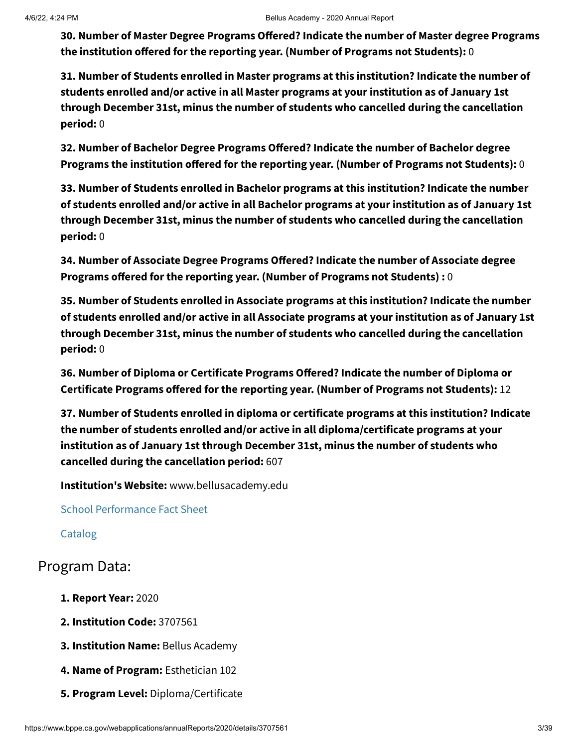**30. Number of Master Degree Programs Offered? Indicate the number of Master degree Programs the institution offered for the reporting year. (Number of Programs not Students):** 0

**31. Number of Students enrolled in Master programs at this institution? Indicate the number of students enrolled and/or active in all Master programs at your institution as of January 1st through December 31st, minus the number of students who cancelled during the cancellation period:** 0

**32. Number of Bachelor Degree Programs Offered? Indicate the number of Bachelor degree Programs the institution offered for the reporting year. (Number of Programs not Students):** 0

**33. Number of Students enrolled in Bachelor programs at this institution? Indicate the number of students enrolled and/or active in all Bachelor programs at your institution as of January 1st through December 31st, minus the number of students who cancelled during the cancellation period:** 0

**34. Number of Associate Degree Programs Offered? Indicate the number of Associate degree Programs offered for the reporting year. (Number of Programs not Students) :** 0

**35. Number of Students enrolled in Associate programs at this institution? Indicate the number of students enrolled and/or active in all Associate programs at your institution as of January 1st through December 31st, minus the number of students who cancelled during the cancellation period:** 0

**36. Number of Diploma or Certificate Programs Offered? Indicate the number of Diploma or Certificate Programs offered for the reporting year. (Number of Programs not Students):** 12

**37. Number of Students enrolled in diploma or certificate programs at this institution? Indicate the number of students enrolled and/or active in all diploma/certificate programs at your institution as of January 1st through December 31st, minus the number of students who cancelled during the cancellation period:** 607

**Institution's Website:** www.bellusacademy.edu

School [Performance](https://www.bppe.ca.gov/webapplications/annualReports/2020/document/0056368D-0F0C-4799-A6E1-88CC8368C0EC) Fact Sheet

[Catalog](https://www.bppe.ca.gov/webapplications/annualReports/2020/document/DFD78AEE-6F3D-4584-8D33-3576EF82452B)

## Program Data:

- **1. Report Year:** 2020
- **2. Institution Code:** 3707561
- **3. Institution Name:** Bellus Academy
- **4. Name of Program:** Esthetician 102
- **5. Program Level:** Diploma/Certificate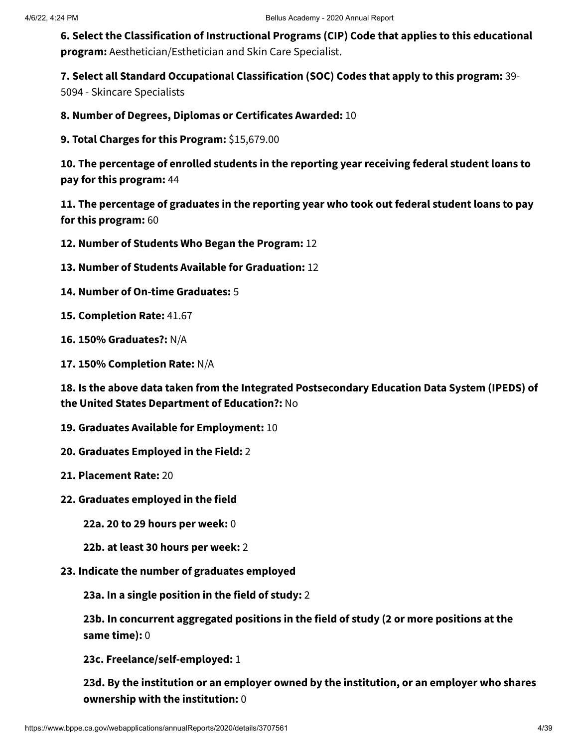**6. Select the Classification of Instructional Programs (CIP) Code that applies to this educational program:** Aesthetician/Esthetician and Skin Care Specialist.

**7. Select all Standard Occupational Classification (SOC) Codes that apply to this program:** 39-

5094 - Skincare Specialists

**8. Number of Degrees, Diplomas or Certificates Awarded:** 10

**9. Total Charges for this Program:** \$15,679.00

**10. The percentage of enrolled students in the reporting year receiving federal student loans to pay for this program:** 44

**11. The percentage of graduates in the reporting year who took out federal student loans to pay for this program:** 60

**12. Number of Students Who Began the Program:** 12

**13. Number of Students Available for Graduation:** 12

**14. Number of On-time Graduates:** 5

**15. Completion Rate:** 41.67

**16. 150% Graduates?:** N/A

**17. 150% Completion Rate:** N/A

**18. Is the above data taken from the Integrated Postsecondary Education Data System (IPEDS) of the United States Department of Education?:** No

**19. Graduates Available for Employment:** 10

**20. Graduates Employed in the Field:** 2

**21. Placement Rate:** 20

**22. Graduates employed in the field**

**22a. 20 to 29 hours per week:** 0

**22b. at least 30 hours per week:** 2

**23. Indicate the number of graduates employed**

**23a. In a single position in the field of study:** 2

**23b. In concurrent aggregated positions in the field of study (2 or more positions at the same time):** 0

**23c. Freelance/self-employed:** 1

**23d. By the institution or an employer owned by the institution, or an employer who shares ownership with the institution:** 0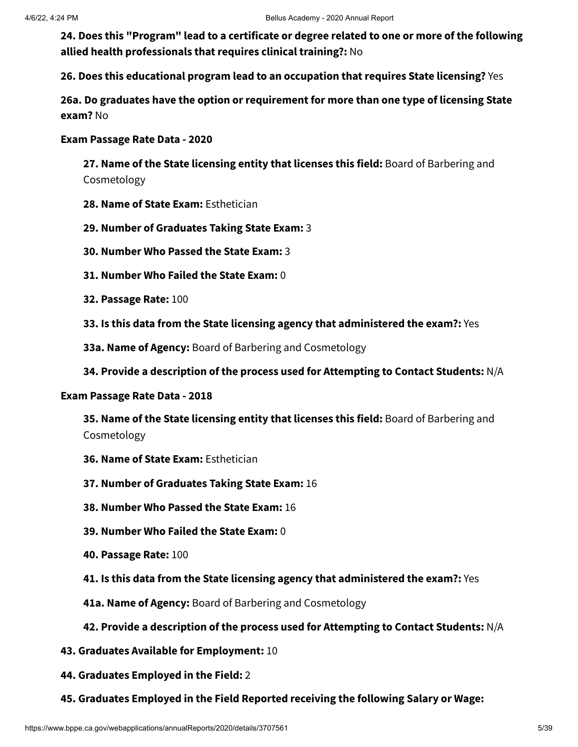**24. Does this "Program" lead to a certificate or degree related to one or more of the following allied health professionals that requires clinical training?:** No

**26. Does this educational program lead to an occupation that requires State licensing?** Yes

**26a. Do graduates have the option or requirement for more than one type of licensing State exam?** No

#### **Exam Passage Rate Data - 2020**

**27. Name of the State licensing entity that licenses this field:** Board of Barbering and Cosmetology

- **28. Name of State Exam:** Esthetician
- **29. Number of Graduates Taking State Exam:** 3
- **30. Number Who Passed the State Exam:** 3
- **31. Number Who Failed the State Exam:** 0
- **32. Passage Rate:** 100
- **33. Is this data from the State licensing agency that administered the exam?:** Yes
- **33a. Name of Agency:** Board of Barbering and Cosmetology
- **34. Provide a description of the process used for Attempting to Contact Students:** N/A

#### **Exam Passage Rate Data - 2018**

**35. Name of the State licensing entity that licenses this field:** Board of Barbering and Cosmetology

- **36. Name of State Exam:** Esthetician
- **37. Number of Graduates Taking State Exam:** 16
- **38. Number Who Passed the State Exam:** 16
- **39. Number Who Failed the State Exam:** 0
- **40. Passage Rate:** 100
- **41. Is this data from the State licensing agency that administered the exam?:** Yes
- **41a. Name of Agency:** Board of Barbering and Cosmetology

#### **42. Provide a description of the process used for Attempting to Contact Students:** N/A

- **43. Graduates Available for Employment:** 10
- **44. Graduates Employed in the Field:** 2
- **45. Graduates Employed in the Field Reported receiving the following Salary or Wage:**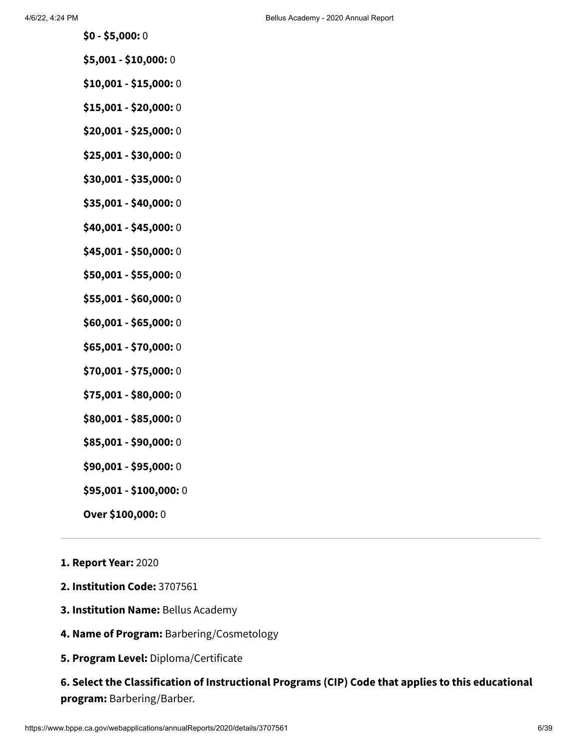- **\$0 - \$5,000:** 0
- **\$5,001 - \$10,000:** 0
- **\$10,001 - \$15,000:** 0
- **\$15,001 - \$20,000:** 0
- **\$20,001 - \$25,000:** 0
- **\$25,001 - \$30,000:** 0
- **\$30,001 - \$35,000:** 0
- **\$35,001 - \$40,000:** 0
- **\$40,001 - \$45,000:** 0
- **\$45,001 - \$50,000:** 0
- **\$50,001 - \$55,000:** 0
- **\$55,001 - \$60,000:** 0
- **\$60,001 - \$65,000:** 0
- **\$65,001 - \$70,000:** 0
- **\$70,001 - \$75,000:** 0
- **\$75,001 - \$80,000:** 0
- **\$80,001 - \$85,000:** 0
- **\$85,001 - \$90,000:** 0
- **\$90,001 - \$95,000:** 0
- **\$95,001 - \$100,000:** 0
- **Over \$100,000:** 0
- **1. Report Year:** 2020
- **2. Institution Code:** 3707561
- **3. Institution Name:** Bellus Academy
- **4. Name of Program:** Barbering/Cosmetology
- **5. Program Level:** Diploma/Certificate

### **6. Select the Classification of Instructional Programs (CIP) Code that applies to this educational program:** Barbering/Barber.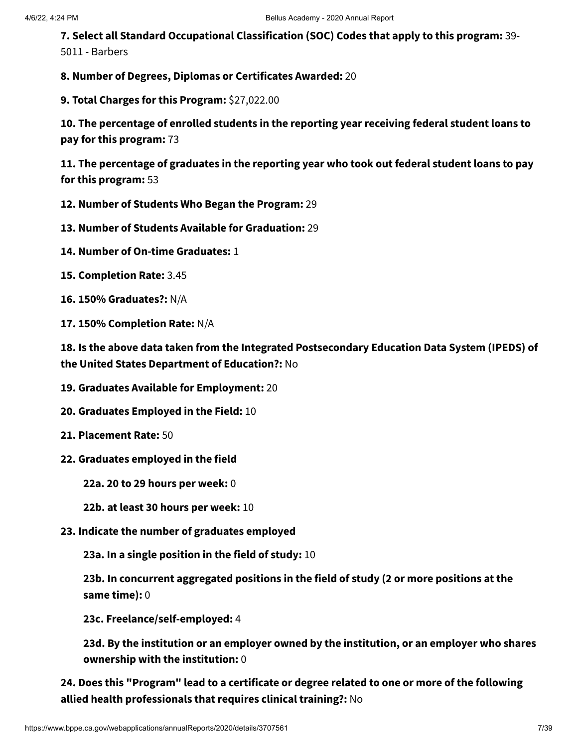**7. Select all Standard Occupational Classification (SOC) Codes that apply to this program:** 39- 5011 - Barbers

**8. Number of Degrees, Diplomas or Certificates Awarded:** 20

**9. Total Charges for this Program:** \$27,022.00

**10. The percentage of enrolled students in the reporting year receiving federal student loans to pay for this program:** 73

**11. The percentage of graduates in the reporting year who took out federal student loans to pay for this program:** 53

- **12. Number of Students Who Began the Program:** 29
- **13. Number of Students Available for Graduation:** 29
- **14. Number of On-time Graduates:** 1
- **15. Completion Rate:** 3.45
- **16. 150% Graduates?:** N/A
- **17. 150% Completion Rate:** N/A

**18. Is the above data taken from the Integrated Postsecondary Education Data System (IPEDS) of the United States Department of Education?:** No

- **19. Graduates Available for Employment:** 20
- **20. Graduates Employed in the Field:** 10
- **21. Placement Rate:** 50
- **22. Graduates employed in the field**
	- **22a. 20 to 29 hours per week:** 0
	- **22b. at least 30 hours per week:** 10
- **23. Indicate the number of graduates employed**

**23a. In a single position in the field of study:** 10

**23b. In concurrent aggregated positions in the field of study (2 or more positions at the same time):** 0

**23c. Freelance/self-employed:** 4

**23d. By the institution or an employer owned by the institution, or an employer who shares ownership with the institution:** 0

**24. Does this "Program" lead to a certificate or degree related to one or more of the following allied health professionals that requires clinical training?:** No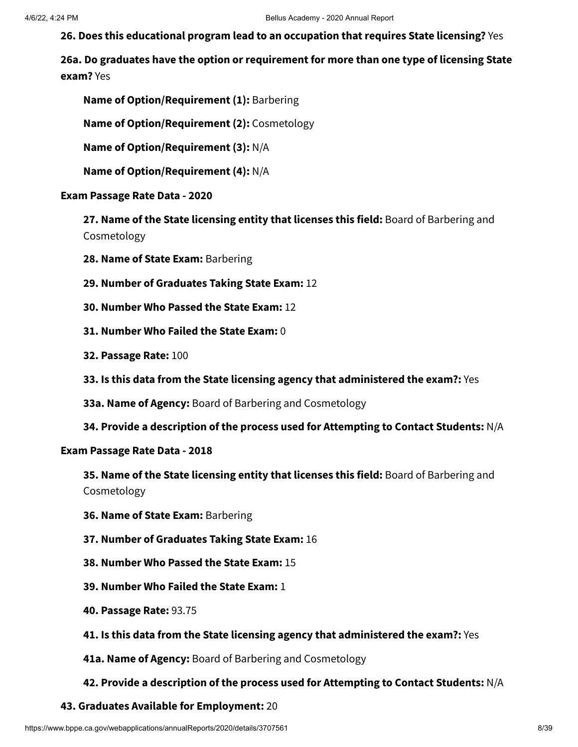**26. Does this educational program lead to an occupation that requires State licensing?** Yes

**26a. Do graduates have the option or requirement for more than one type of licensing State exam?** Yes

**Name of Option/Requirement (1):** Barbering

**Name of Option/Requirement (2):** Cosmetology

**Name of Option/Requirement (3):** N/A

**Name of Option/Requirement (4):** N/A

#### **Exam Passage Rate Data - 2020**

**27. Name of the State licensing entity that licenses this field:** Board of Barbering and Cosmetology

- **28. Name of State Exam:** Barbering
- **29. Number of Graduates Taking State Exam:** 12
- **30. Number Who Passed the State Exam:** 12
- **31. Number Who Failed the State Exam:** 0
- **32. Passage Rate:** 100
- **33. Is this data from the State licensing agency that administered the exam?:** Yes
- **33a. Name of Agency:** Board of Barbering and Cosmetology
- **34. Provide a description of the process used for Attempting to Contact Students:** N/A

#### **Exam Passage Rate Data - 2018**

**35. Name of the State licensing entity that licenses this field:** Board of Barbering and Cosmetology

- **36. Name of State Exam:** Barbering
- **37. Number of Graduates Taking State Exam:** 16
- **38. Number Who Passed the State Exam:** 15
- **39. Number Who Failed the State Exam:** 1
- **40. Passage Rate:** 93.75
- **41. Is this data from the State licensing agency that administered the exam?:** Yes
- **41a. Name of Agency:** Board of Barbering and Cosmetology

#### **42. Provide a description of the process used for Attempting to Contact Students:** N/A

#### **43. Graduates Available for Employment:** 20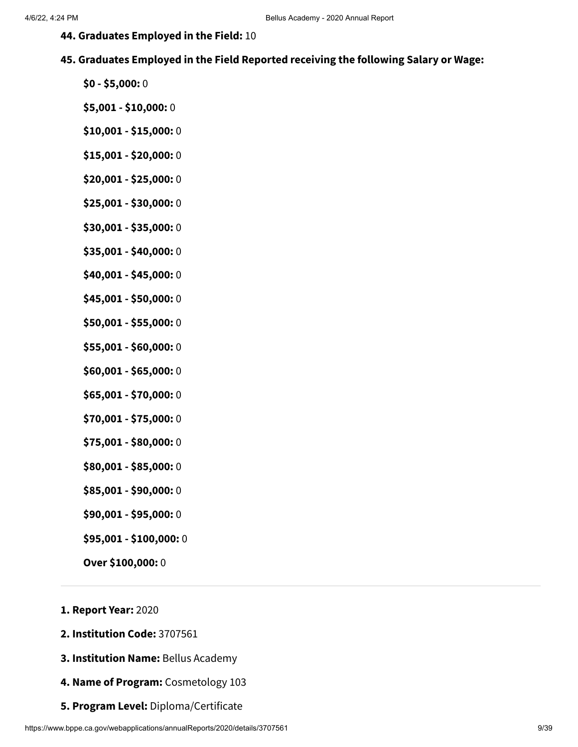- **44. Graduates Employed in the Field:** 10
- **45. Graduates Employed in the Field Reported receiving the following Salary or Wage:**
	- **\$0 - \$5,000:** 0
	- **\$5,001 - \$10,000:** 0
	- **\$10,001 - \$15,000:** 0
	- **\$15,001 - \$20,000:** 0
	- **\$20,001 - \$25,000:** 0
	- **\$25,001 - \$30,000:** 0
	- **\$30,001 - \$35,000:** 0
	- **\$35,001 - \$40,000:** 0
	- **\$40,001 - \$45,000:** 0
	- **\$45,001 - \$50,000:** 0
	- **\$50,001 - \$55,000:** 0
	- **\$55,001 - \$60,000:** 0
	- **\$60,001 - \$65,000:** 0
	- **\$65,001 - \$70,000:** 0
	- **\$70,001 - \$75,000:** 0
	- **\$75,001 - \$80,000:** 0
	- **\$80,001 - \$85,000:** 0
	- **\$85,001 - \$90,000:** 0
	- **\$90,001 - \$95,000:** 0
	- **\$95,001 - \$100,000:** 0
	- **Over \$100,000:** 0
- **1. Report Year:** 2020
- **2. Institution Code:** 3707561
- **3. Institution Name:** Bellus Academy
- **4. Name of Program:** Cosmetology 103
- **5. Program Level:** Diploma/Certificate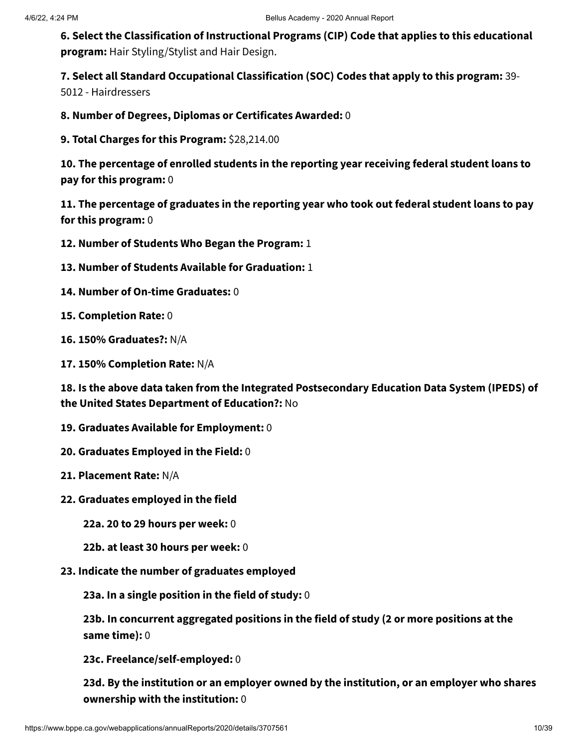**6. Select the Classification of Instructional Programs (CIP) Code that applies to this educational program:** Hair Styling/Stylist and Hair Design.

**7. Select all Standard Occupational Classification (SOC) Codes that apply to this program:** 39-

5012 - Hairdressers

**8. Number of Degrees, Diplomas or Certificates Awarded:** 0

**9. Total Charges for this Program:** \$28,214.00

**10. The percentage of enrolled students in the reporting year receiving federal student loans to pay for this program:** 0

**11. The percentage of graduates in the reporting year who took out federal student loans to pay for this program:** 0

**12. Number of Students Who Began the Program:** 1

- **13. Number of Students Available for Graduation:** 1
- **14. Number of On-time Graduates:** 0
- **15. Completion Rate:** 0
- **16. 150% Graduates?:** N/A
- **17. 150% Completion Rate:** N/A

**18. Is the above data taken from the Integrated Postsecondary Education Data System (IPEDS) of the United States Department of Education?:** No

- **19. Graduates Available for Employment:** 0
- **20. Graduates Employed in the Field:** 0
- **21. Placement Rate:** N/A
- **22. Graduates employed in the field**
	- **22a. 20 to 29 hours per week:** 0
	- **22b. at least 30 hours per week:** 0
- **23. Indicate the number of graduates employed**

**23a. In a single position in the field of study:** 0

**23b. In concurrent aggregated positions in the field of study (2 or more positions at the same time):** 0

**23c. Freelance/self-employed:** 0

**23d. By the institution or an employer owned by the institution, or an employer who shares ownership with the institution:** 0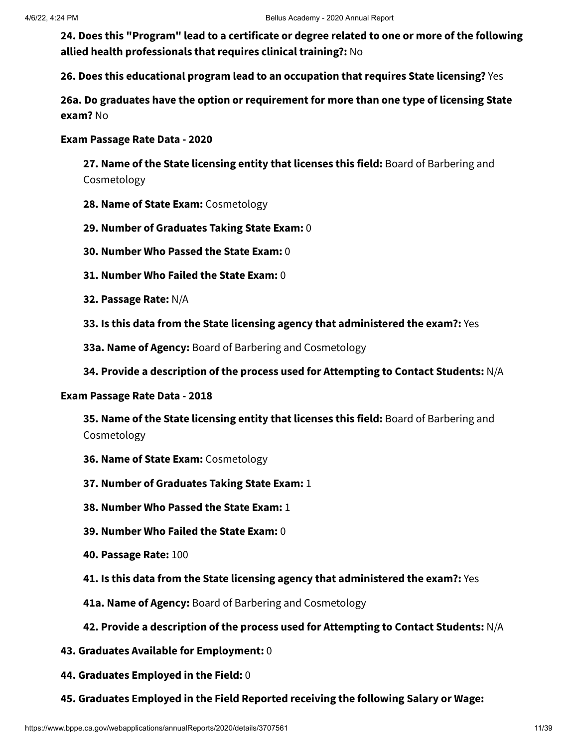**24. Does this "Program" lead to a certificate or degree related to one or more of the following allied health professionals that requires clinical training?:** No

**26. Does this educational program lead to an occupation that requires State licensing?** Yes

**26a. Do graduates have the option or requirement for more than one type of licensing State exam?** No

#### **Exam Passage Rate Data - 2020**

**27. Name of the State licensing entity that licenses this field:** Board of Barbering and Cosmetology

- **28. Name of State Exam:** Cosmetology
- **29. Number of Graduates Taking State Exam:** 0
- **30. Number Who Passed the State Exam:** 0
- **31. Number Who Failed the State Exam:** 0
- **32. Passage Rate:** N/A
- **33. Is this data from the State licensing agency that administered the exam?:** Yes
- **33a. Name of Agency:** Board of Barbering and Cosmetology
- **34. Provide a description of the process used for Attempting to Contact Students:** N/A

#### **Exam Passage Rate Data - 2018**

**35. Name of the State licensing entity that licenses this field:** Board of Barbering and Cosmetology

- **36. Name of State Exam:** Cosmetology
- **37. Number of Graduates Taking State Exam:** 1
- **38. Number Who Passed the State Exam:** 1
- **39. Number Who Failed the State Exam:** 0
- **40. Passage Rate:** 100
- **41. Is this data from the State licensing agency that administered the exam?:** Yes
- **41a. Name of Agency:** Board of Barbering and Cosmetology

#### **42. Provide a description of the process used for Attempting to Contact Students:** N/A

- **43. Graduates Available for Employment:** 0
- **44. Graduates Employed in the Field:** 0
- **45. Graduates Employed in the Field Reported receiving the following Salary or Wage:**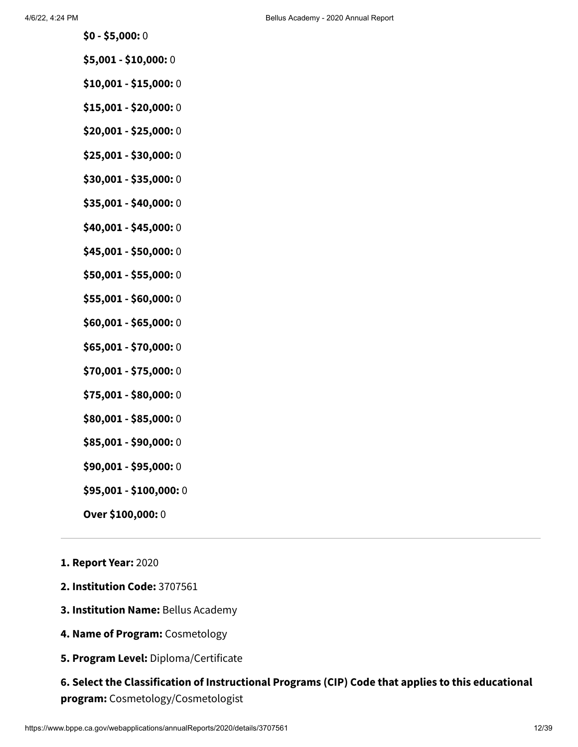- **\$0 - \$5,000:** 0
- **\$5,001 - \$10,000:** 0
- **\$10,001 - \$15,000:** 0
- **\$15,001 - \$20,000:** 0
- **\$20,001 - \$25,000:** 0
- **\$25,001 - \$30,000:** 0
- **\$30,001 - \$35,000:** 0
- **\$35,001 - \$40,000:** 0
- **\$40,001 - \$45,000:** 0
- **\$45,001 - \$50,000:** 0
- **\$50,001 - \$55,000:** 0
- **\$55,001 - \$60,000:** 0
- **\$60,001 - \$65,000:** 0
- **\$65,001 - \$70,000:** 0
- **\$70,001 - \$75,000:** 0
- **\$75,001 - \$80,000:** 0
- **\$80,001 - \$85,000:** 0
- **\$85,001 - \$90,000:** 0
- **\$90,001 - \$95,000:** 0
- **\$95,001 - \$100,000:** 0
- **Over \$100,000:** 0
- **1. Report Year:** 2020
- **2. Institution Code:** 3707561
- **3. Institution Name:** Bellus Academy
- **4. Name of Program:** Cosmetology
- **5. Program Level:** Diploma/Certificate

### **6. Select the Classification of Instructional Programs (CIP) Code that applies to this educational program:** Cosmetology/Cosmetologist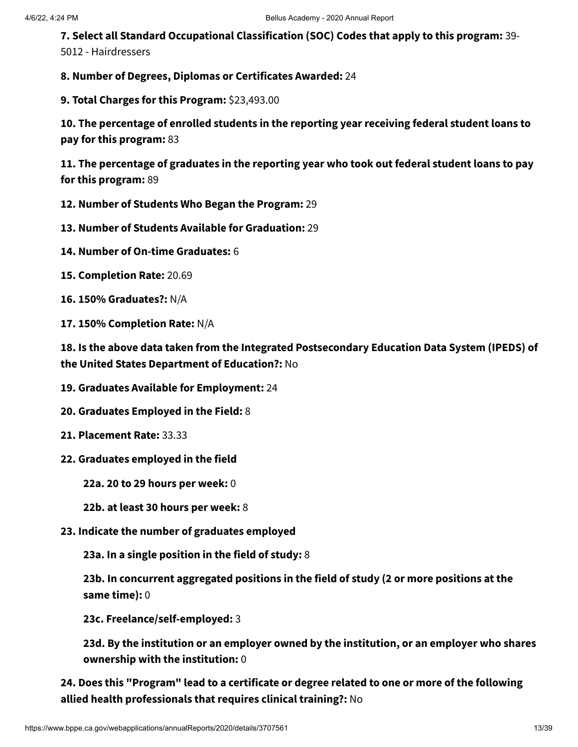**7. Select all Standard Occupational Classification (SOC) Codes that apply to this program:** 39- 5012 - Hairdressers

**8. Number of Degrees, Diplomas or Certificates Awarded:** 24

**9. Total Charges for this Program:** \$23,493.00

**10. The percentage of enrolled students in the reporting year receiving federal student loans to pay for this program:** 83

**11. The percentage of graduates in the reporting year who took out federal student loans to pay for this program:** 89

- **12. Number of Students Who Began the Program:** 29
- **13. Number of Students Available for Graduation:** 29
- **14. Number of On-time Graduates:** 6
- **15. Completion Rate:** 20.69
- **16. 150% Graduates?:** N/A
- **17. 150% Completion Rate:** N/A

**18. Is the above data taken from the Integrated Postsecondary Education Data System (IPEDS) of the United States Department of Education?:** No

- **19. Graduates Available for Employment:** 24
- **20. Graduates Employed in the Field:** 8
- **21. Placement Rate:** 33.33
- **22. Graduates employed in the field**
	- **22a. 20 to 29 hours per week:** 0
	- **22b. at least 30 hours per week:** 8
- **23. Indicate the number of graduates employed**

**23a. In a single position in the field of study:** 8

**23b. In concurrent aggregated positions in the field of study (2 or more positions at the same time):** 0

**23c. Freelance/self-employed:** 3

**23d. By the institution or an employer owned by the institution, or an employer who shares ownership with the institution:** 0

**24. Does this "Program" lead to a certificate or degree related to one or more of the following allied health professionals that requires clinical training?:** No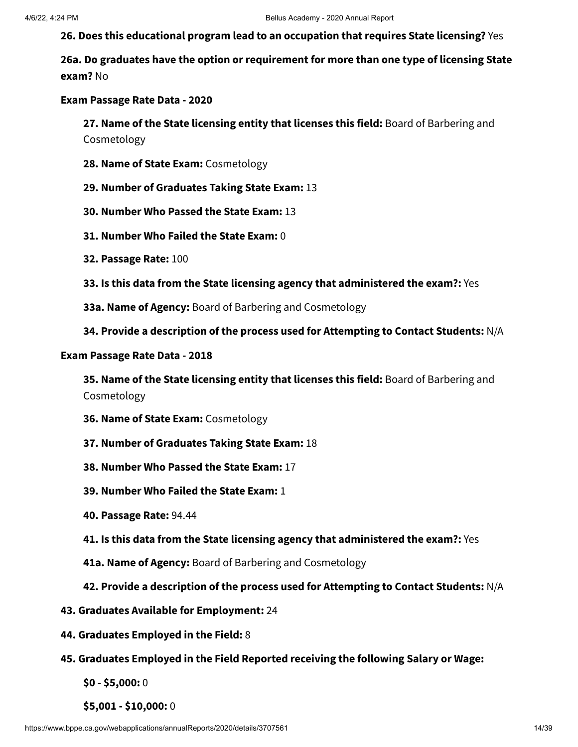**26. Does this educational program lead to an occupation that requires State licensing?** Yes

**26a. Do graduates have the option or requirement for more than one type of licensing State exam?** No

#### **Exam Passage Rate Data - 2020**

**27. Name of the State licensing entity that licenses this field:** Board of Barbering and Cosmetology

- **28. Name of State Exam:** Cosmetology
- **29. Number of Graduates Taking State Exam:** 13
- **30. Number Who Passed the State Exam:** 13
- **31. Number Who Failed the State Exam:** 0
- **32. Passage Rate:** 100
- **33. Is this data from the State licensing agency that administered the exam?:** Yes
- **33a. Name of Agency:** Board of Barbering and Cosmetology
- **34. Provide a description of the process used for Attempting to Contact Students:** N/A

#### **Exam Passage Rate Data - 2018**

**35. Name of the State licensing entity that licenses this field:** Board of Barbering and Cosmetology

- **36. Name of State Exam:** Cosmetology
- **37. Number of Graduates Taking State Exam:** 18
- **38. Number Who Passed the State Exam:** 17
- **39. Number Who Failed the State Exam:** 1
- **40. Passage Rate:** 94.44
- **41. Is this data from the State licensing agency that administered the exam?:** Yes
- **41a. Name of Agency:** Board of Barbering and Cosmetology
- **42. Provide a description of the process used for Attempting to Contact Students:** N/A
- **43. Graduates Available for Employment:** 24
- **44. Graduates Employed in the Field:** 8
- **45. Graduates Employed in the Field Reported receiving the following Salary or Wage:**
	- **\$0 - \$5,000:** 0
	- **\$5,001 - \$10,000:** 0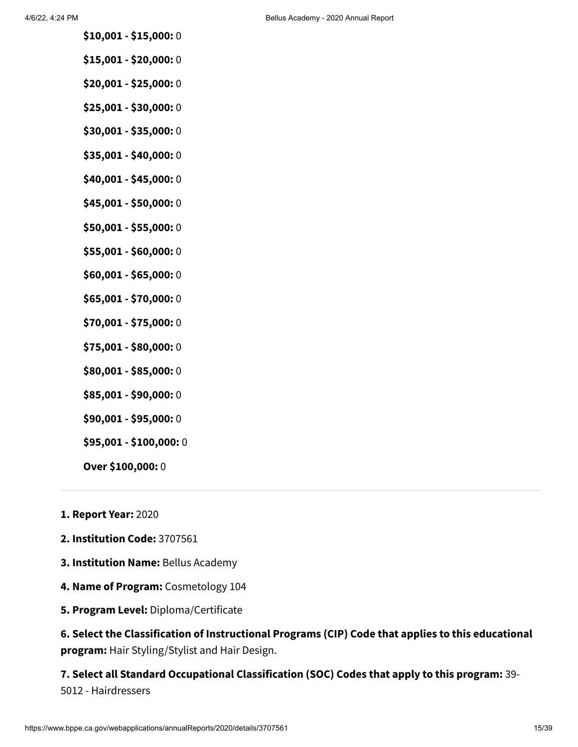- **\$10,001 - \$15,000:** 0
- **\$15,001 - \$20,000:** 0
- **\$20,001 - \$25,000:** 0
- **\$25,001 - \$30,000:** 0
- **\$30,001 - \$35,000:** 0
- **\$35,001 - \$40,000:** 0
- **\$40,001 - \$45,000:** 0
- **\$45,001 - \$50,000:** 0
- **\$50,001 - \$55,000:** 0
- **\$55,001 - \$60,000:** 0
- **\$60,001 - \$65,000:** 0
- **\$65,001 - \$70,000:** 0
- **\$70,001 - \$75,000:** 0
- **\$75,001 - \$80,000:** 0
- **\$80,001 - \$85,000:** 0
- **\$85,001 - \$90,000:** 0
- **\$90,001 - \$95,000:** 0
- **\$95,001 - \$100,000:** 0
- **Over \$100,000:** 0
- **1. Report Year:** 2020
- **2. Institution Code:** 3707561
- **3. Institution Name:** Bellus Academy
- **4. Name of Program:** Cosmetology 104
- **5. Program Level:** Diploma/Certificate

**6. Select the Classification of Instructional Programs (CIP) Code that applies to this educational program:** Hair Styling/Stylist and Hair Design.

**7. Select all Standard Occupational Classification (SOC) Codes that apply to this program:** 39- 5012 - Hairdressers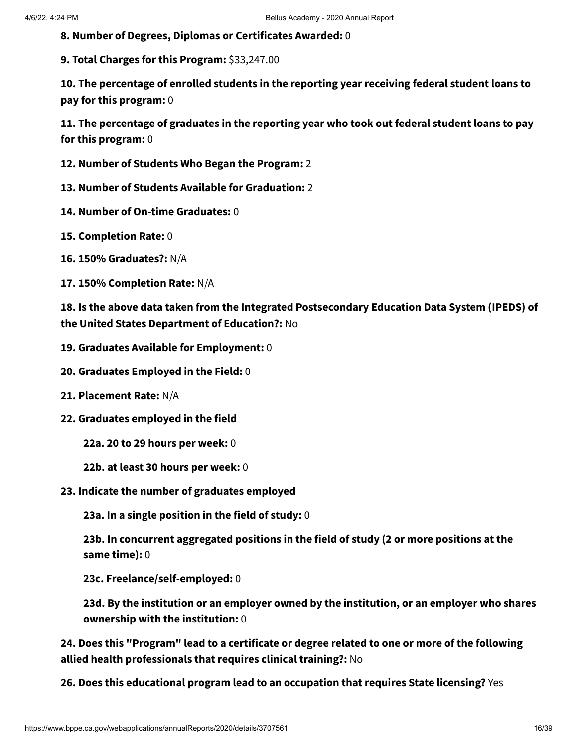**8. Number of Degrees, Diplomas or Certificates Awarded:** 0

**9. Total Charges for this Program:** \$33,247.00

**10. The percentage of enrolled students in the reporting year receiving federal student loans to pay for this program:** 0

**11. The percentage of graduates in the reporting year who took out federal student loans to pay for this program:** 0

- **12. Number of Students Who Began the Program:** 2
- **13. Number of Students Available for Graduation:** 2
- **14. Number of On-time Graduates:** 0
- **15. Completion Rate:** 0
- **16. 150% Graduates?:** N/A
- **17. 150% Completion Rate:** N/A

**18. Is the above data taken from the Integrated Postsecondary Education Data System (IPEDS) of the United States Department of Education?:** No

- **19. Graduates Available for Employment:** 0
- **20. Graduates Employed in the Field:** 0
- **21. Placement Rate:** N/A
- **22. Graduates employed in the field**
	- **22a. 20 to 29 hours per week:** 0
	- **22b. at least 30 hours per week:** 0
- **23. Indicate the number of graduates employed**

**23a. In a single position in the field of study:** 0

**23b. In concurrent aggregated positions in the field of study (2 or more positions at the same time):** 0

**23c. Freelance/self-employed:** 0

**23d. By the institution or an employer owned by the institution, or an employer who shares ownership with the institution:** 0

**24. Does this "Program" lead to a certificate or degree related to one or more of the following allied health professionals that requires clinical training?:** No

**26. Does this educational program lead to an occupation that requires State licensing?** Yes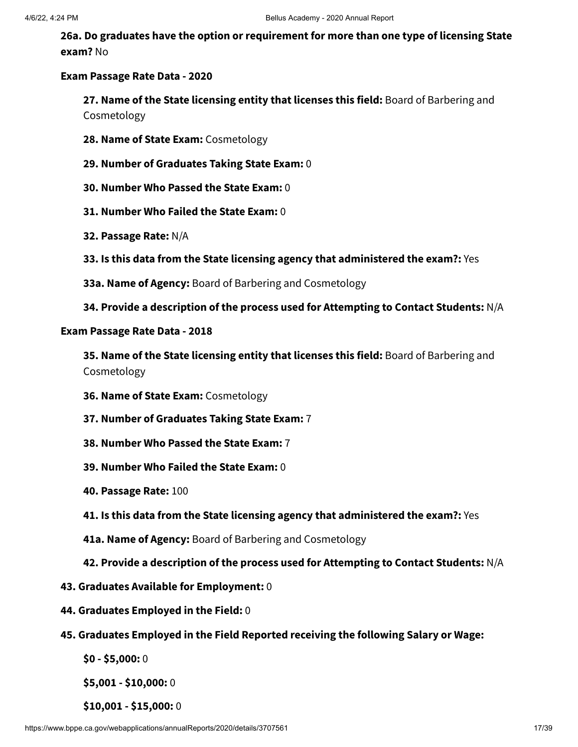**26a. Do graduates have the option or requirement for more than one type of licensing State exam?** No

#### **Exam Passage Rate Data - 2020**

**27. Name of the State licensing entity that licenses this field:** Board of Barbering and Cosmetology

- **28. Name of State Exam:** Cosmetology
- **29. Number of Graduates Taking State Exam:** 0
- **30. Number Who Passed the State Exam:** 0
- **31. Number Who Failed the State Exam:** 0
- **32. Passage Rate:** N/A
- **33. Is this data from the State licensing agency that administered the exam?:** Yes
- **33a. Name of Agency:** Board of Barbering and Cosmetology
- **34. Provide a description of the process used for Attempting to Contact Students:** N/A

#### **Exam Passage Rate Data - 2018**

**35. Name of the State licensing entity that licenses this field:** Board of Barbering and Cosmetology

- **36. Name of State Exam:** Cosmetology
- **37. Number of Graduates Taking State Exam:** 7
- **38. Number Who Passed the State Exam:** 7
- **39. Number Who Failed the State Exam:** 0
- **40. Passage Rate:** 100
- **41. Is this data from the State licensing agency that administered the exam?:** Yes
- **41a. Name of Agency:** Board of Barbering and Cosmetology
- **42. Provide a description of the process used for Attempting to Contact Students:** N/A
- **43. Graduates Available for Employment:** 0
- **44. Graduates Employed in the Field:** 0
- **45. Graduates Employed in the Field Reported receiving the following Salary or Wage:**
	- **\$0 - \$5,000:** 0

**\$5,001 - \$10,000:** 0

**\$10,001 - \$15,000:** 0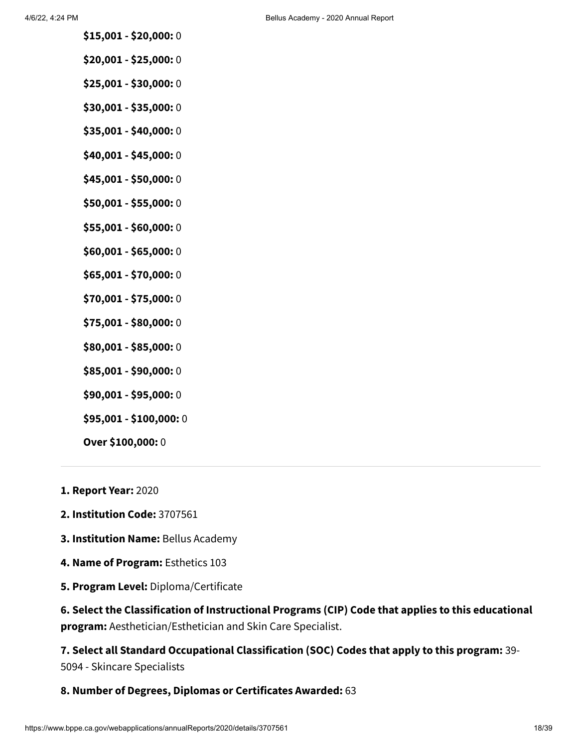- **\$15,001 - \$20,000:** 0
- **\$20,001 - \$25,000:** 0
- **\$25,001 - \$30,000:** 0
- **\$30,001 - \$35,000:** 0
- **\$35,001 - \$40,000:** 0
- **\$40,001 - \$45,000:** 0
- **\$45,001 - \$50,000:** 0
- **\$50,001 - \$55,000:** 0
- **\$55,001 - \$60,000:** 0
- **\$60,001 - \$65,000:** 0
- **\$65,001 - \$70,000:** 0
- **\$70,001 - \$75,000:** 0
- **\$75,001 - \$80,000:** 0
- **\$80,001 - \$85,000:** 0
- **\$85,001 - \$90,000:** 0
- **\$90,001 - \$95,000:** 0
- **\$95,001 - \$100,000:** 0
- **Over \$100,000:** 0
- **1. Report Year:** 2020
- **2. Institution Code:** 3707561
- **3. Institution Name:** Bellus Academy
- **4. Name of Program:** Esthetics 103
- **5. Program Level:** Diploma/Certificate

**6. Select the Classification of Instructional Programs (CIP) Code that applies to this educational program:** Aesthetician/Esthetician and Skin Care Specialist.

**7. Select all Standard Occupational Classification (SOC) Codes that apply to this program:** 39- 5094 - Skincare Specialists

#### **8. Number of Degrees, Diplomas or Certificates Awarded:** 63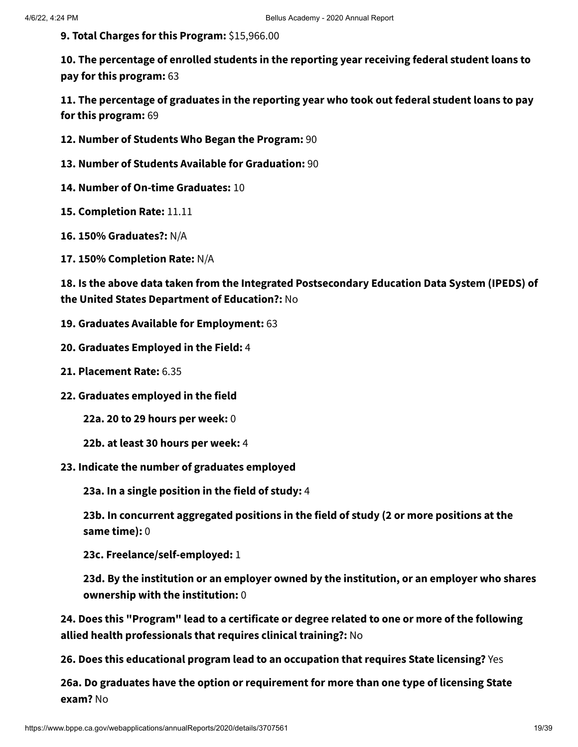**9. Total Charges for this Program:** \$15,966.00

**10. The percentage of enrolled students in the reporting year receiving federal student loans to pay for this program:** 63

**11. The percentage of graduates in the reporting year who took out federal student loans to pay for this program:** 69

- **12. Number of Students Who Began the Program:** 90
- **13. Number of Students Available for Graduation:** 90
- **14. Number of On-time Graduates:** 10
- **15. Completion Rate:** 11.11
- **16. 150% Graduates?:** N/A
- **17. 150% Completion Rate:** N/A

**18. Is the above data taken from the Integrated Postsecondary Education Data System (IPEDS) of the United States Department of Education?:** No

- **19. Graduates Available for Employment:** 63
- **20. Graduates Employed in the Field:** 4
- **21. Placement Rate:** 6.35
- **22. Graduates employed in the field**

**22a. 20 to 29 hours per week:** 0

- **22b. at least 30 hours per week:** 4
- **23. Indicate the number of graduates employed**

**23a. In a single position in the field of study:** 4

**23b. In concurrent aggregated positions in the field of study (2 or more positions at the same time):** 0

**23c. Freelance/self-employed:** 1

**23d. By the institution or an employer owned by the institution, or an employer who shares ownership with the institution:** 0

**24. Does this "Program" lead to a certificate or degree related to one or more of the following allied health professionals that requires clinical training?:** No

**26. Does this educational program lead to an occupation that requires State licensing?** Yes

**26a. Do graduates have the option or requirement for more than one type of licensing State exam?** No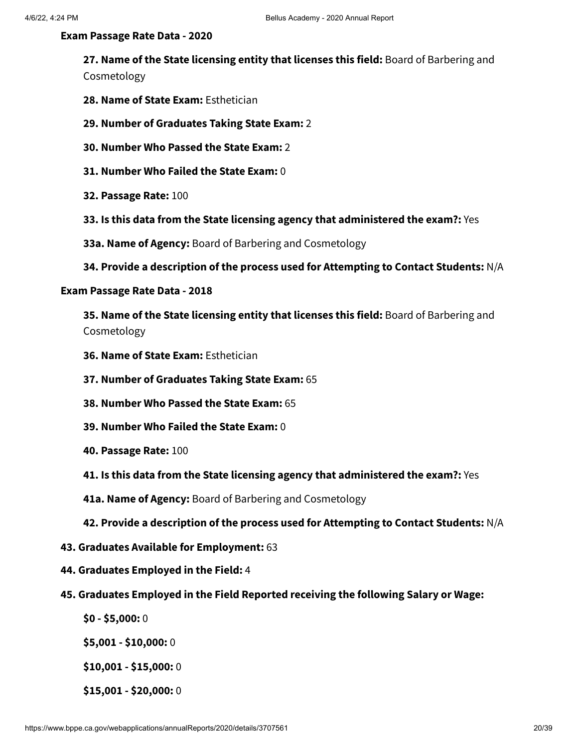#### **Exam Passage Rate Data - 2020**

**27. Name of the State licensing entity that licenses this field:** Board of Barbering and Cosmetology

- **28. Name of State Exam:** Esthetician
- **29. Number of Graduates Taking State Exam:** 2
- **30. Number Who Passed the State Exam:** 2
- **31. Number Who Failed the State Exam:** 0
- **32. Passage Rate:** 100
- **33. Is this data from the State licensing agency that administered the exam?:** Yes
- **33a. Name of Agency:** Board of Barbering and Cosmetology
- **34. Provide a description of the process used for Attempting to Contact Students:** N/A

#### **Exam Passage Rate Data - 2018**

**35. Name of the State licensing entity that licenses this field:** Board of Barbering and Cosmetology

- **36. Name of State Exam:** Esthetician
- **37. Number of Graduates Taking State Exam:** 65
- **38. Number Who Passed the State Exam:** 65
- **39. Number Who Failed the State Exam:** 0
- **40. Passage Rate:** 100
- **41. Is this data from the State licensing agency that administered the exam?:** Yes
- **41a. Name of Agency:** Board of Barbering and Cosmetology
- **42. Provide a description of the process used for Attempting to Contact Students:** N/A
- **43. Graduates Available for Employment:** 63
- **44. Graduates Employed in the Field:** 4
- **45. Graduates Employed in the Field Reported receiving the following Salary or Wage:**
	- **\$0 - \$5,000:** 0

**\$5,001 - \$10,000:** 0

**\$10,001 - \$15,000:** 0

**\$15,001 - \$20,000:** 0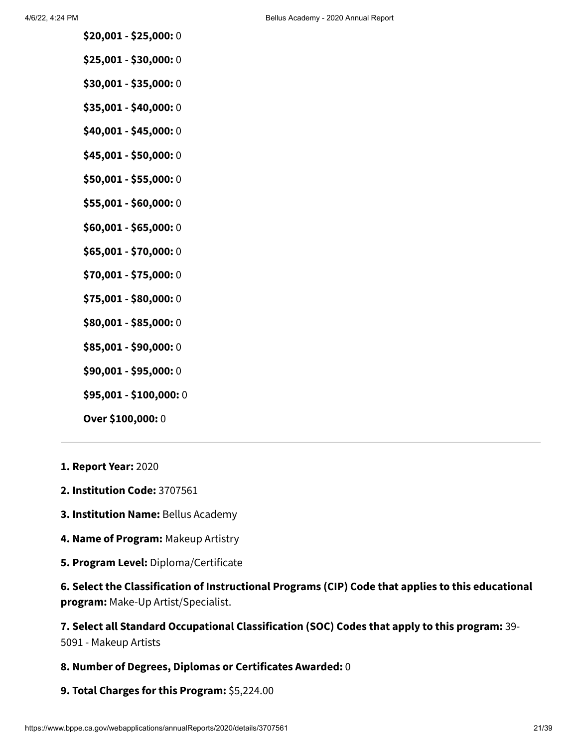- **\$20,001 - \$25,000:** 0
- **\$25,001 - \$30,000:** 0
- **\$30,001 - \$35,000:** 0
- **\$35,001 - \$40,000:** 0
- **\$40,001 - \$45,000:** 0
- **\$45,001 - \$50,000:** 0
- **\$50,001 - \$55,000:** 0
- **\$55,001 - \$60,000:** 0
- **\$60,001 - \$65,000:** 0
- **\$65,001 - \$70,000:** 0
- **\$70,001 - \$75,000:** 0
- **\$75,001 - \$80,000:** 0
- **\$80,001 - \$85,000:** 0
- **\$85,001 - \$90,000:** 0
- **\$90,001 - \$95,000:** 0
- **\$95,001 - \$100,000:** 0
- **Over \$100,000:** 0
- **1. Report Year:** 2020
- **2. Institution Code:** 3707561
- **3. Institution Name:** Bellus Academy
- **4. Name of Program:** Makeup Artistry
- **5. Program Level:** Diploma/Certificate

**6. Select the Classification of Instructional Programs (CIP) Code that applies to this educational program:** Make-Up Artist/Specialist.

### **7. Select all Standard Occupational Classification (SOC) Codes that apply to this program:** 39-

5091 - Makeup Artists

- **8. Number of Degrees, Diplomas or Certificates Awarded:** 0
- **9. Total Charges for this Program:** \$5,224.00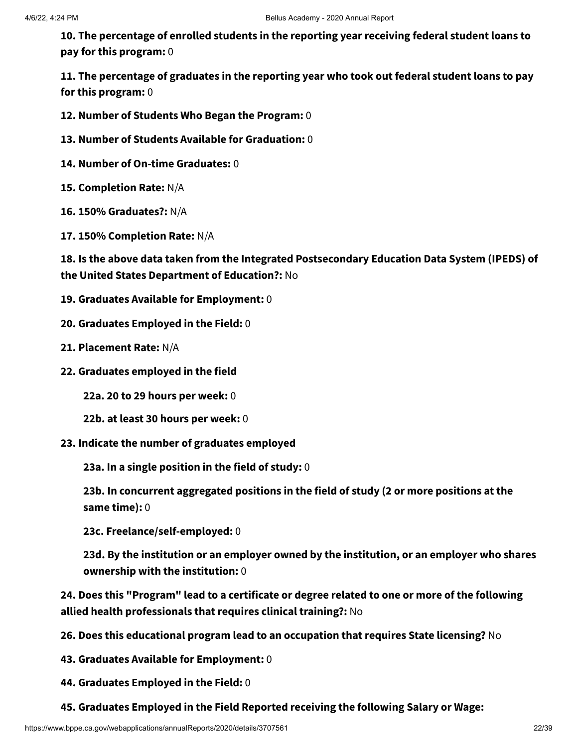**10. The percentage of enrolled students in the reporting year receiving federal student loans to pay for this program:** 0

**11. The percentage of graduates in the reporting year who took out federal student loans to pay for this program:** 0

**12. Number of Students Who Began the Program:** 0

**13. Number of Students Available for Graduation:** 0

- **14. Number of On-time Graduates:** 0
- **15. Completion Rate:** N/A
- **16. 150% Graduates?:** N/A
- **17. 150% Completion Rate:** N/A

**18. Is the above data taken from the Integrated Postsecondary Education Data System (IPEDS) of the United States Department of Education?:** No

- **19. Graduates Available for Employment:** 0
- **20. Graduates Employed in the Field:** 0
- **21. Placement Rate:** N/A
- **22. Graduates employed in the field**

**22a. 20 to 29 hours per week:** 0

- **22b. at least 30 hours per week:** 0
- **23. Indicate the number of graduates employed**

**23a. In a single position in the field of study:** 0

**23b. In concurrent aggregated positions in the field of study (2 or more positions at the same time):** 0

**23c. Freelance/self-employed:** 0

**23d. By the institution or an employer owned by the institution, or an employer who shares ownership with the institution:** 0

**24. Does this "Program" lead to a certificate or degree related to one or more of the following allied health professionals that requires clinical training?:** No

- **26. Does this educational program lead to an occupation that requires State licensing?** No
- **43. Graduates Available for Employment:** 0
- **44. Graduates Employed in the Field:** 0
- **45. Graduates Employed in the Field Reported receiving the following Salary or Wage:**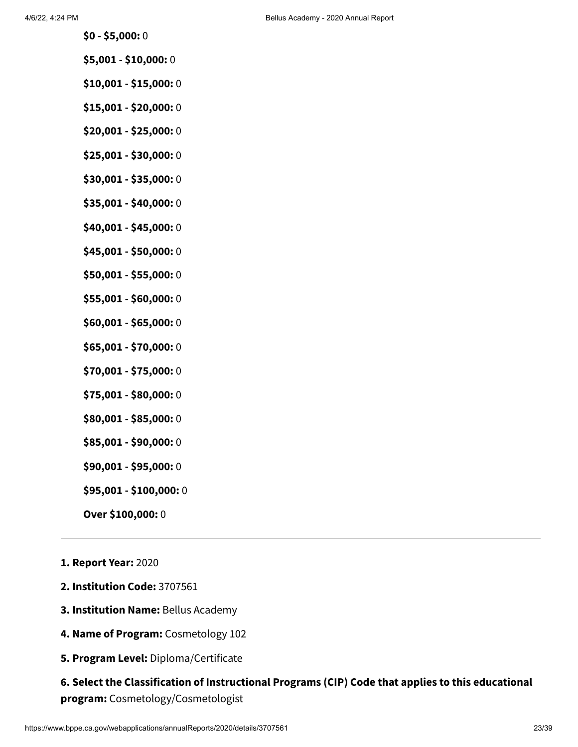- **\$0 - \$5,000:** 0
- **\$5,001 - \$10,000:** 0
- **\$10,001 - \$15,000:** 0
- **\$15,001 - \$20,000:** 0
- **\$20,001 - \$25,000:** 0
- **\$25,001 - \$30,000:** 0
- **\$30,001 - \$35,000:** 0
- **\$35,001 - \$40,000:** 0
- **\$40,001 - \$45,000:** 0
- **\$45,001 - \$50,000:** 0
- **\$50,001 - \$55,000:** 0
- **\$55,001 - \$60,000:** 0
- **\$60,001 - \$65,000:** 0
- **\$65,001 - \$70,000:** 0
- **\$70,001 - \$75,000:** 0
- **\$75,001 - \$80,000:** 0
- **\$80,001 - \$85,000:** 0
- **\$85,001 - \$90,000:** 0
- **\$90,001 - \$95,000:** 0
- **\$95,001 - \$100,000:** 0
- **Over \$100,000:** 0
- **1. Report Year:** 2020
- **2. Institution Code:** 3707561
- **3. Institution Name:** Bellus Academy
- **4. Name of Program:** Cosmetology 102
- **5. Program Level:** Diploma/Certificate

### **6. Select the Classification of Instructional Programs (CIP) Code that applies to this educational program:** Cosmetology/Cosmetologist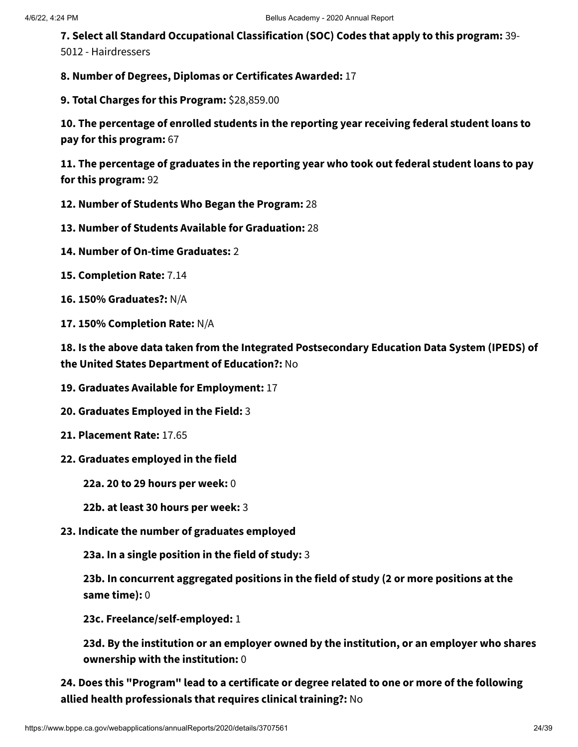**7. Select all Standard Occupational Classification (SOC) Codes that apply to this program:** 39- 5012 - Hairdressers

**8. Number of Degrees, Diplomas or Certificates Awarded:** 17

**9. Total Charges for this Program:** \$28,859.00

**10. The percentage of enrolled students in the reporting year receiving federal student loans to pay for this program:** 67

**11. The percentage of graduates in the reporting year who took out federal student loans to pay for this program:** 92

- **12. Number of Students Who Began the Program:** 28
- **13. Number of Students Available for Graduation:** 28
- **14. Number of On-time Graduates:** 2
- **15. Completion Rate:** 7.14
- **16. 150% Graduates?:** N/A
- **17. 150% Completion Rate:** N/A

**18. Is the above data taken from the Integrated Postsecondary Education Data System (IPEDS) of the United States Department of Education?:** No

- **19. Graduates Available for Employment:** 17
- **20. Graduates Employed in the Field:** 3
- **21. Placement Rate:** 17.65
- **22. Graduates employed in the field**
	- **22a. 20 to 29 hours per week:** 0
	- **22b. at least 30 hours per week:** 3
- **23. Indicate the number of graduates employed**

**23a. In a single position in the field of study:** 3

**23b. In concurrent aggregated positions in the field of study (2 or more positions at the same time):** 0

**23c. Freelance/self-employed:** 1

**23d. By the institution or an employer owned by the institution, or an employer who shares ownership with the institution:** 0

**24. Does this "Program" lead to a certificate or degree related to one or more of the following allied health professionals that requires clinical training?:** No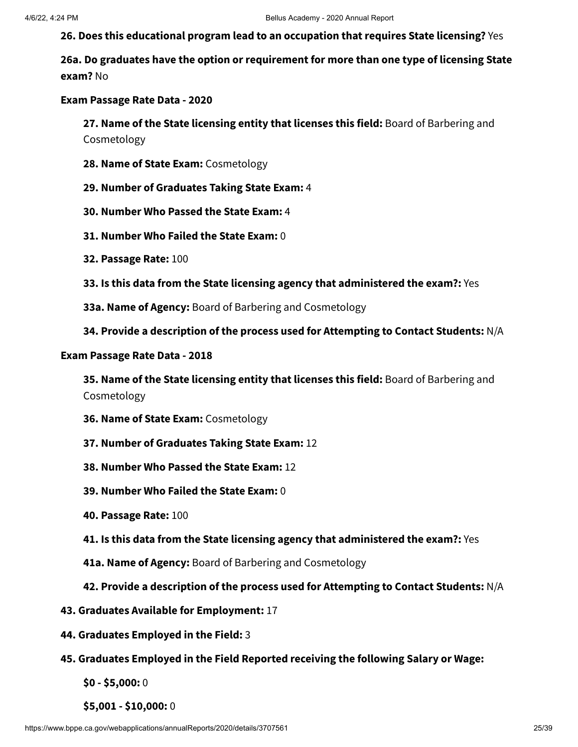**26. Does this educational program lead to an occupation that requires State licensing?** Yes

**26a. Do graduates have the option or requirement for more than one type of licensing State exam?** No

**Exam Passage Rate Data - 2020**

**27. Name of the State licensing entity that licenses this field:** Board of Barbering and Cosmetology

- **28. Name of State Exam:** Cosmetology
- **29. Number of Graduates Taking State Exam:** 4
- **30. Number Who Passed the State Exam:** 4
- **31. Number Who Failed the State Exam:** 0
- **32. Passage Rate:** 100
- **33. Is this data from the State licensing agency that administered the exam?:** Yes
- **33a. Name of Agency:** Board of Barbering and Cosmetology
- **34. Provide a description of the process used for Attempting to Contact Students:** N/A

#### **Exam Passage Rate Data - 2018**

**35. Name of the State licensing entity that licenses this field:** Board of Barbering and Cosmetology

- **36. Name of State Exam:** Cosmetology
- **37. Number of Graduates Taking State Exam:** 12
- **38. Number Who Passed the State Exam:** 12
- **39. Number Who Failed the State Exam:** 0
- **40. Passage Rate:** 100
- **41. Is this data from the State licensing agency that administered the exam?:** Yes
- **41a. Name of Agency:** Board of Barbering and Cosmetology
- **42. Provide a description of the process used for Attempting to Contact Students:** N/A
- **43. Graduates Available for Employment:** 17
- **44. Graduates Employed in the Field:** 3
- **45. Graduates Employed in the Field Reported receiving the following Salary or Wage:**
	- **\$0 - \$5,000:** 0
	- **\$5,001 - \$10,000:** 0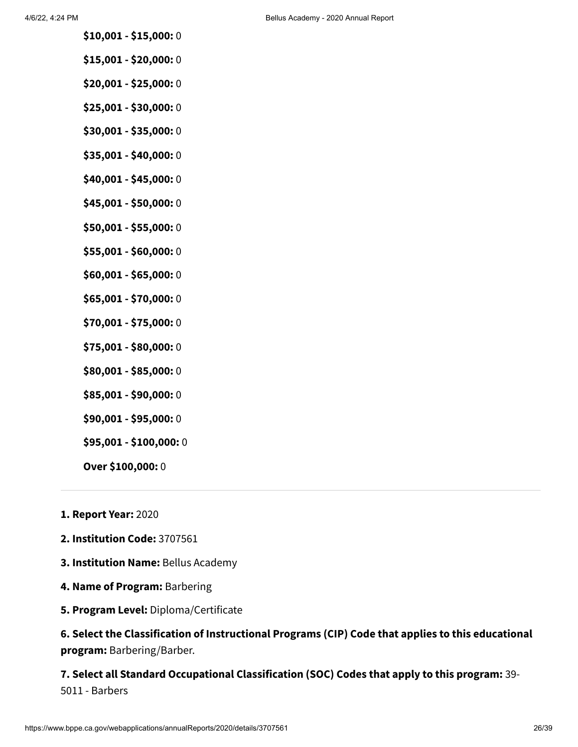- **\$10,001 - \$15,000:** 0
- **\$15,001 - \$20,000:** 0
- **\$20,001 - \$25,000:** 0
- **\$25,001 - \$30,000:** 0
- **\$30,001 - \$35,000:** 0
- **\$35,001 - \$40,000:** 0
- **\$40,001 - \$45,000:** 0
- **\$45,001 - \$50,000:** 0
- **\$50,001 - \$55,000:** 0
- **\$55,001 - \$60,000:** 0
- **\$60,001 - \$65,000:** 0
- **\$65,001 - \$70,000:** 0
- **\$70,001 - \$75,000:** 0
- **\$75,001 - \$80,000:** 0
- **\$80,001 - \$85,000:** 0
- **\$85,001 - \$90,000:** 0
- **\$90,001 - \$95,000:** 0
- **\$95,001 - \$100,000:** 0
- **Over \$100,000:** 0
- **1. Report Year:** 2020
- **2. Institution Code:** 3707561
- **3. Institution Name:** Bellus Academy
- **4. Name of Program:** Barbering
- **5. Program Level:** Diploma/Certificate

### **6. Select the Classification of Instructional Programs (CIP) Code that applies to this educational program:** Barbering/Barber.

### **7. Select all Standard Occupational Classification (SOC) Codes that apply to this program:** 39- 5011 - Barbers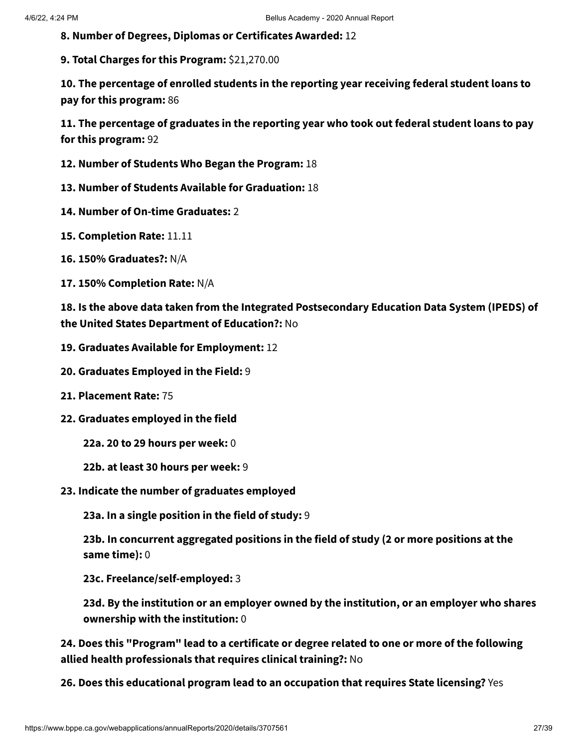**8. Number of Degrees, Diplomas or Certificates Awarded:** 12

**9. Total Charges for this Program:** \$21,270.00

**10. The percentage of enrolled students in the reporting year receiving federal student loans to pay for this program:** 86

**11. The percentage of graduates in the reporting year who took out federal student loans to pay for this program:** 92

- **12. Number of Students Who Began the Program:** 18
- **13. Number of Students Available for Graduation:** 18
- **14. Number of On-time Graduates:** 2
- **15. Completion Rate:** 11.11
- **16. 150% Graduates?:** N/A
- **17. 150% Completion Rate:** N/A

**18. Is the above data taken from the Integrated Postsecondary Education Data System (IPEDS) of the United States Department of Education?:** No

- **19. Graduates Available for Employment:** 12
- **20. Graduates Employed in the Field:** 9
- **21. Placement Rate:** 75
- **22. Graduates employed in the field**
	- **22a. 20 to 29 hours per week:** 0
	- **22b. at least 30 hours per week:** 9
- **23. Indicate the number of graduates employed**

**23a. In a single position in the field of study:** 9

**23b. In concurrent aggregated positions in the field of study (2 or more positions at the same time):** 0

**23c. Freelance/self-employed:** 3

**23d. By the institution or an employer owned by the institution, or an employer who shares ownership with the institution:** 0

**24. Does this "Program" lead to a certificate or degree related to one or more of the following allied health professionals that requires clinical training?:** No

**26. Does this educational program lead to an occupation that requires State licensing?** Yes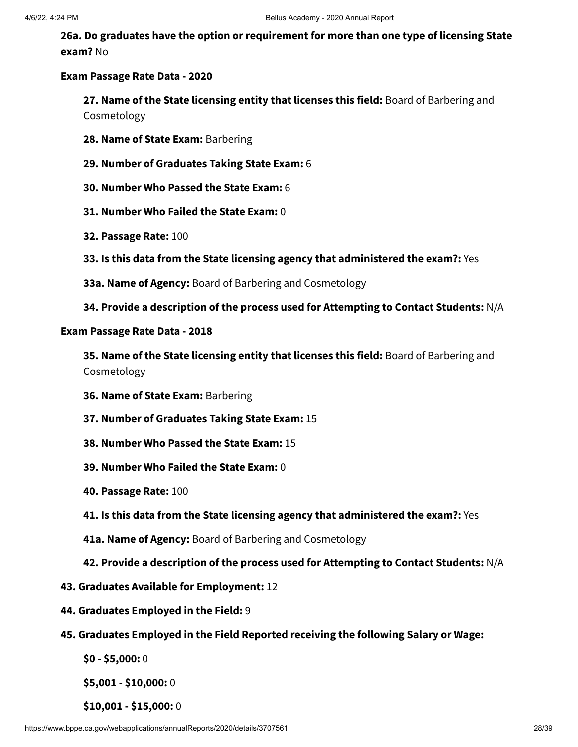**26a. Do graduates have the option or requirement for more than one type of licensing State exam?** No

#### **Exam Passage Rate Data - 2020**

**27. Name of the State licensing entity that licenses this field:** Board of Barbering and Cosmetology

- **28. Name of State Exam:** Barbering
- **29. Number of Graduates Taking State Exam:** 6
- **30. Number Who Passed the State Exam:** 6
- **31. Number Who Failed the State Exam:** 0
- **32. Passage Rate:** 100
- **33. Is this data from the State licensing agency that administered the exam?:** Yes
- **33a. Name of Agency:** Board of Barbering and Cosmetology
- **34. Provide a description of the process used for Attempting to Contact Students:** N/A

#### **Exam Passage Rate Data - 2018**

**35. Name of the State licensing entity that licenses this field:** Board of Barbering and Cosmetology

- **36. Name of State Exam:** Barbering
- **37. Number of Graduates Taking State Exam:** 15
- **38. Number Who Passed the State Exam:** 15
- **39. Number Who Failed the State Exam:** 0
- **40. Passage Rate:** 100
- **41. Is this data from the State licensing agency that administered the exam?:** Yes
- **41a. Name of Agency:** Board of Barbering and Cosmetology
- **42. Provide a description of the process used for Attempting to Contact Students:** N/A
- **43. Graduates Available for Employment:** 12
- **44. Graduates Employed in the Field:** 9
- **45. Graduates Employed in the Field Reported receiving the following Salary or Wage:**

**\$0 - \$5,000:** 0

**\$5,001 - \$10,000:** 0

**\$10,001 - \$15,000:** 0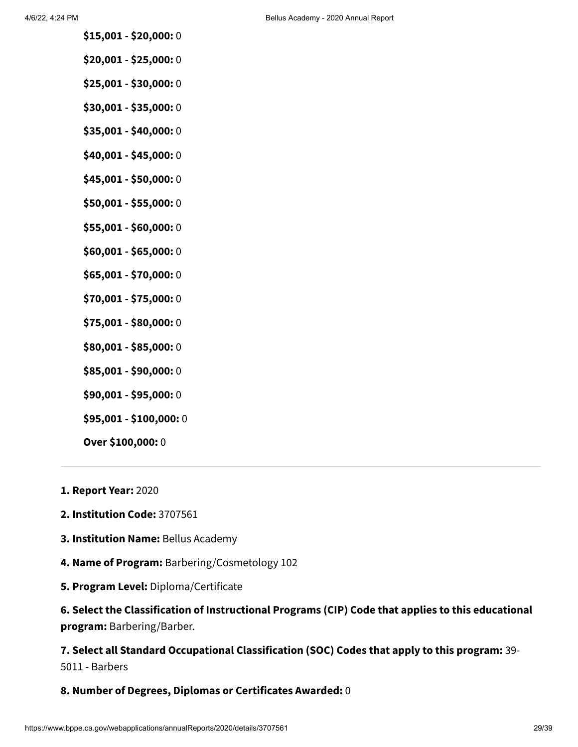- **\$15,001 - \$20,000:** 0
- **\$20,001 - \$25,000:** 0
- **\$25,001 - \$30,000:** 0
- **\$30,001 - \$35,000:** 0
- **\$35,001 - \$40,000:** 0
- **\$40,001 - \$45,000:** 0
- **\$45,001 - \$50,000:** 0
- **\$50,001 - \$55,000:** 0
- **\$55,001 - \$60,000:** 0
- **\$60,001 - \$65,000:** 0
- **\$65,001 - \$70,000:** 0
- **\$70,001 - \$75,000:** 0
- **\$75,001 - \$80,000:** 0
- **\$80,001 - \$85,000:** 0
- **\$85,001 - \$90,000:** 0
- **\$90,001 - \$95,000:** 0
- **\$95,001 - \$100,000:** 0
- **Over \$100,000:** 0
- **1. Report Year:** 2020
- **2. Institution Code:** 3707561
- **3. Institution Name:** Bellus Academy
- **4. Name of Program:** Barbering/Cosmetology 102
- **5. Program Level:** Diploma/Certificate

**6. Select the Classification of Instructional Programs (CIP) Code that applies to this educational program:** Barbering/Barber.

**7. Select all Standard Occupational Classification (SOC) Codes that apply to this program:** 39- 5011 - Barbers

#### **8. Number of Degrees, Diplomas or Certificates Awarded:** 0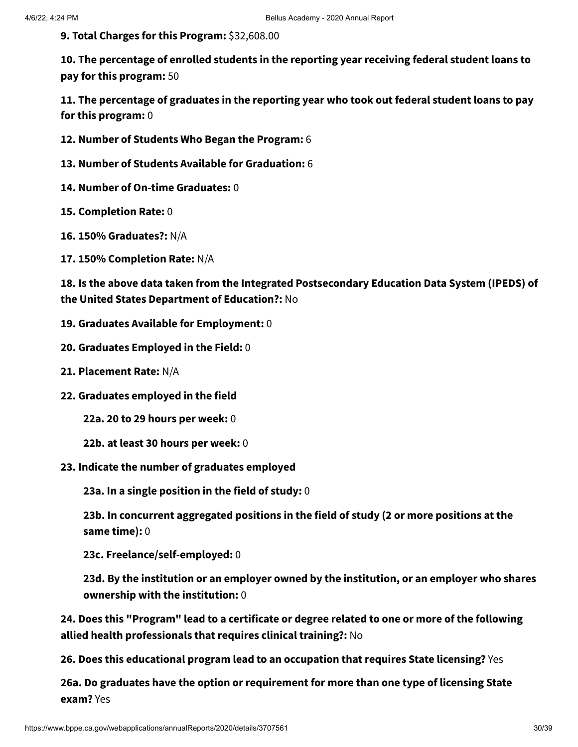**9. Total Charges for this Program:** \$32,608.00

**10. The percentage of enrolled students in the reporting year receiving federal student loans to pay for this program:** 50

**11. The percentage of graduates in the reporting year who took out federal student loans to pay for this program:** 0

- **12. Number of Students Who Began the Program:** 6
- **13. Number of Students Available for Graduation:** 6
- **14. Number of On-time Graduates:** 0
- **15. Completion Rate:** 0
- **16. 150% Graduates?:** N/A
- **17. 150% Completion Rate:** N/A

**18. Is the above data taken from the Integrated Postsecondary Education Data System (IPEDS) of the United States Department of Education?:** No

- **19. Graduates Available for Employment:** 0
- **20. Graduates Employed in the Field:** 0
- **21. Placement Rate:** N/A
- **22. Graduates employed in the field**

**22a. 20 to 29 hours per week:** 0

- **22b. at least 30 hours per week:** 0
- **23. Indicate the number of graduates employed**

**23a. In a single position in the field of study:** 0

**23b. In concurrent aggregated positions in the field of study (2 or more positions at the same time):** 0

**23c. Freelance/self-employed:** 0

**23d. By the institution or an employer owned by the institution, or an employer who shares ownership with the institution:** 0

**24. Does this "Program" lead to a certificate or degree related to one or more of the following allied health professionals that requires clinical training?:** No

**26. Does this educational program lead to an occupation that requires State licensing?** Yes

**26a. Do graduates have the option or requirement for more than one type of licensing State exam?** Yes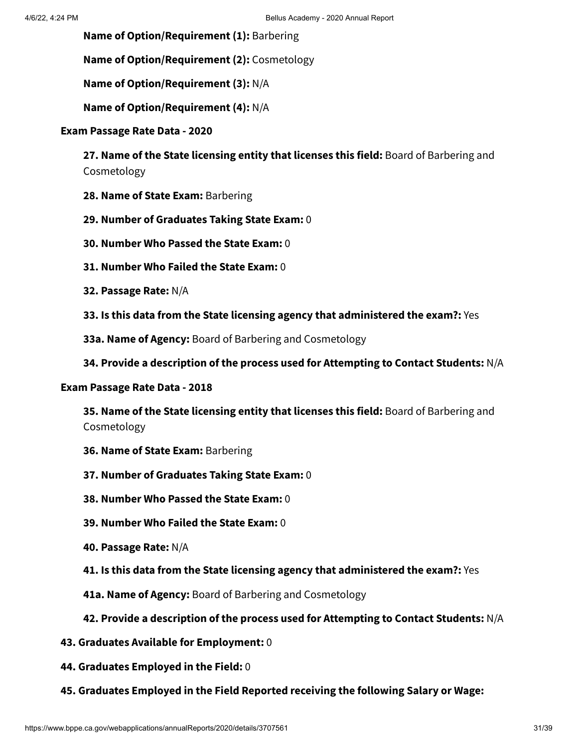**Name of Option/Requirement (1):** Barbering

**Name of Option/Requirement (2):** Cosmetology

**Name of Option/Requirement (3):** N/A

**Name of Option/Requirement (4):** N/A

#### **Exam Passage Rate Data - 2020**

**27. Name of the State licensing entity that licenses this field:** Board of Barbering and Cosmetology

- **28. Name of State Exam:** Barbering
- **29. Number of Graduates Taking State Exam:** 0
- **30. Number Who Passed the State Exam:** 0
- **31. Number Who Failed the State Exam:** 0
- **32. Passage Rate:** N/A
- **33. Is this data from the State licensing agency that administered the exam?:** Yes
- **33a. Name of Agency:** Board of Barbering and Cosmetology
- **34. Provide a description of the process used for Attempting to Contact Students:** N/A

#### **Exam Passage Rate Data - 2018**

**35. Name of the State licensing entity that licenses this field:** Board of Barbering and Cosmetology

- **36. Name of State Exam:** Barbering
- **37. Number of Graduates Taking State Exam:** 0
- **38. Number Who Passed the State Exam:** 0
- **39. Number Who Failed the State Exam:** 0
- **40. Passage Rate:** N/A
- **41. Is this data from the State licensing agency that administered the exam?:** Yes
- **41a. Name of Agency:** Board of Barbering and Cosmetology
- **42. Provide a description of the process used for Attempting to Contact Students:** N/A
- **43. Graduates Available for Employment:** 0
- **44. Graduates Employed in the Field:** 0
- **45. Graduates Employed in the Field Reported receiving the following Salary or Wage:**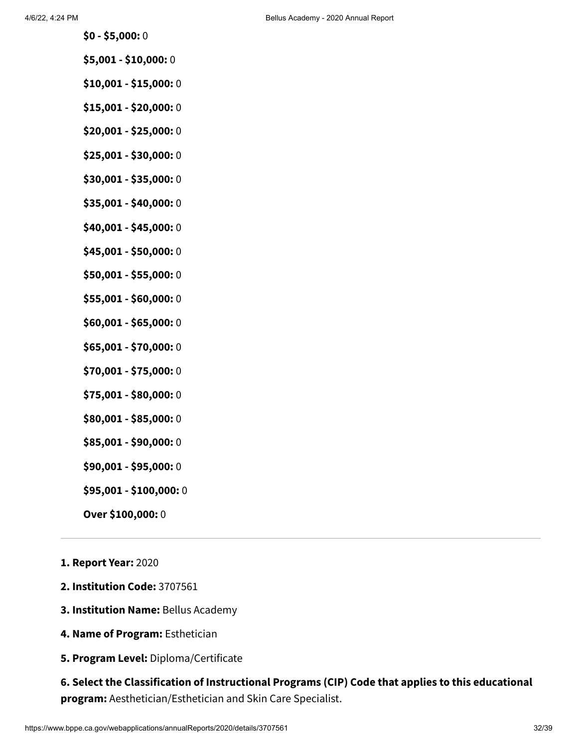- **\$0 - \$5,000:** 0
- **\$5,001 - \$10,000:** 0
- **\$10,001 - \$15,000:** 0
- **\$15,001 - \$20,000:** 0
- **\$20,001 - \$25,000:** 0
- **\$25,001 - \$30,000:** 0
- **\$30,001 - \$35,000:** 0
- **\$35,001 - \$40,000:** 0
- **\$40,001 - \$45,000:** 0
- **\$45,001 - \$50,000:** 0
- **\$50,001 - \$55,000:** 0
- **\$55,001 - \$60,000:** 0
- **\$60,001 - \$65,000:** 0
- **\$65,001 - \$70,000:** 0
- **\$70,001 - \$75,000:** 0
- **\$75,001 - \$80,000:** 0
- **\$80,001 - \$85,000:** 0
- **\$85,001 - \$90,000:** 0
- **\$90,001 - \$95,000:** 0
- **\$95,001 - \$100,000:** 0
- **Over \$100,000:** 0
- **1. Report Year:** 2020
- **2. Institution Code:** 3707561
- **3. Institution Name:** Bellus Academy
- **4. Name of Program:** Esthetician
- **5. Program Level:** Diploma/Certificate

**6. Select the Classification of Instructional Programs (CIP) Code that applies to this educational program:** Aesthetician/Esthetician and Skin Care Specialist.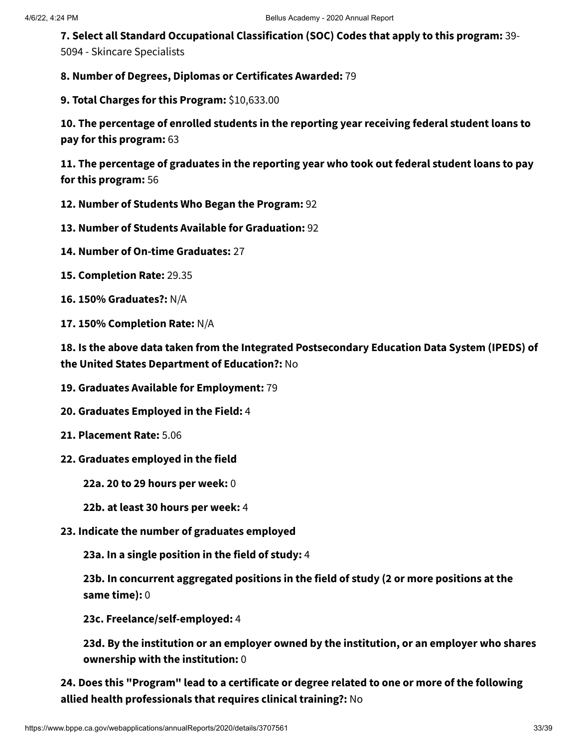**7. Select all Standard Occupational Classification (SOC) Codes that apply to this program:** 39- 5094 - Skincare Specialists

**8. Number of Degrees, Diplomas or Certificates Awarded:** 79

**9. Total Charges for this Program:** \$10,633.00

**10. The percentage of enrolled students in the reporting year receiving federal student loans to pay for this program:** 63

**11. The percentage of graduates in the reporting year who took out federal student loans to pay for this program:** 56

- **12. Number of Students Who Began the Program:** 92
- **13. Number of Students Available for Graduation:** 92
- **14. Number of On-time Graduates:** 27
- **15. Completion Rate:** 29.35
- **16. 150% Graduates?:** N/A
- **17. 150% Completion Rate:** N/A

**18. Is the above data taken from the Integrated Postsecondary Education Data System (IPEDS) of the United States Department of Education?:** No

- **19. Graduates Available for Employment:** 79
- **20. Graduates Employed in the Field:** 4
- **21. Placement Rate:** 5.06
- **22. Graduates employed in the field**
	- **22a. 20 to 29 hours per week:** 0
	- **22b. at least 30 hours per week:** 4
- **23. Indicate the number of graduates employed**

**23a. In a single position in the field of study:** 4

**23b. In concurrent aggregated positions in the field of study (2 or more positions at the same time):** 0

**23c. Freelance/self-employed:** 4

**23d. By the institution or an employer owned by the institution, or an employer who shares ownership with the institution:** 0

**24. Does this "Program" lead to a certificate or degree related to one or more of the following allied health professionals that requires clinical training?:** No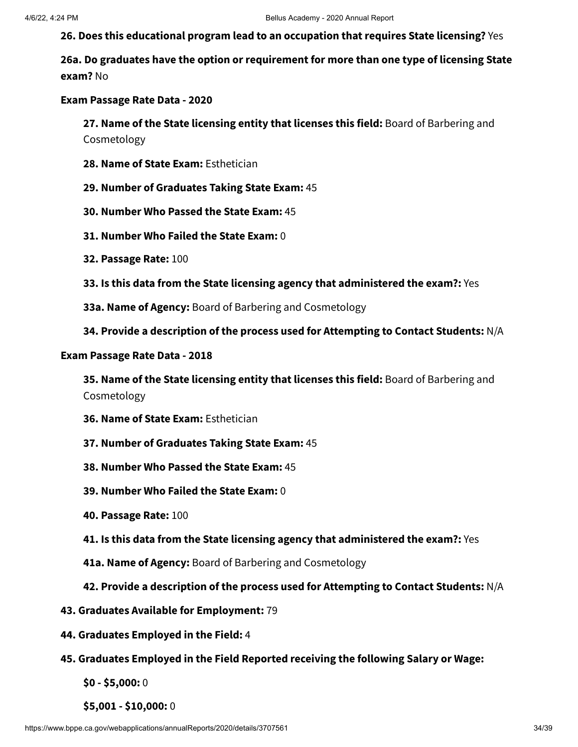**26. Does this educational program lead to an occupation that requires State licensing?** Yes

**26a. Do graduates have the option or requirement for more than one type of licensing State exam?** No

#### **Exam Passage Rate Data - 2020**

**27. Name of the State licensing entity that licenses this field:** Board of Barbering and Cosmetology

- **28. Name of State Exam:** Esthetician
- **29. Number of Graduates Taking State Exam:** 45
- **30. Number Who Passed the State Exam:** 45
- **31. Number Who Failed the State Exam:** 0
- **32. Passage Rate:** 100
- **33. Is this data from the State licensing agency that administered the exam?:** Yes
- **33a. Name of Agency:** Board of Barbering and Cosmetology
- **34. Provide a description of the process used for Attempting to Contact Students:** N/A

#### **Exam Passage Rate Data - 2018**

**35. Name of the State licensing entity that licenses this field:** Board of Barbering and Cosmetology

- **36. Name of State Exam:** Esthetician
- **37. Number of Graduates Taking State Exam:** 45
- **38. Number Who Passed the State Exam:** 45
- **39. Number Who Failed the State Exam:** 0
- **40. Passage Rate:** 100
- **41. Is this data from the State licensing agency that administered the exam?:** Yes
- **41a. Name of Agency:** Board of Barbering and Cosmetology
- **42. Provide a description of the process used for Attempting to Contact Students:** N/A
- **43. Graduates Available for Employment:** 79
- **44. Graduates Employed in the Field:** 4
- **45. Graduates Employed in the Field Reported receiving the following Salary or Wage:**
	- **\$0 - \$5,000:** 0
	- **\$5,001 - \$10,000:** 0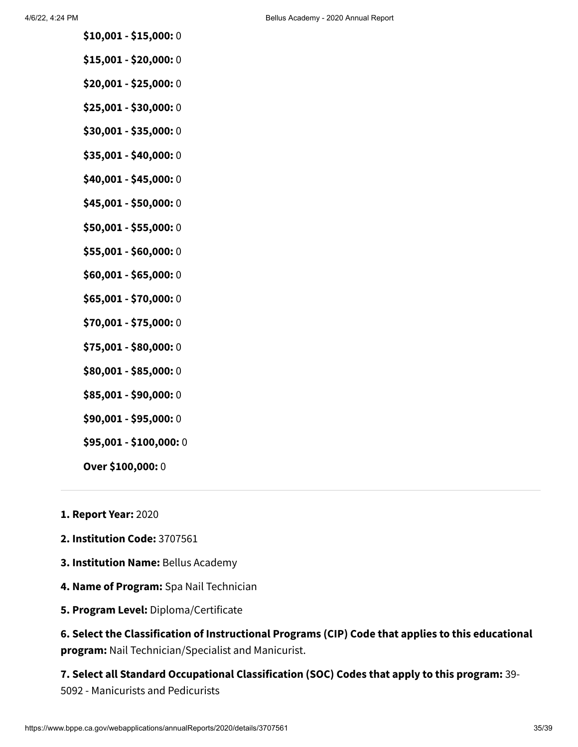- **\$10,001 - \$15,000:** 0
- **\$15,001 - \$20,000:** 0
- **\$20,001 - \$25,000:** 0
- **\$25,001 - \$30,000:** 0
- **\$30,001 - \$35,000:** 0
- **\$35,001 - \$40,000:** 0
- **\$40,001 - \$45,000:** 0
- **\$45,001 - \$50,000:** 0
- **\$50,001 - \$55,000:** 0
- **\$55,001 - \$60,000:** 0
- **\$60,001 - \$65,000:** 0
- **\$65,001 - \$70,000:** 0
- **\$70,001 - \$75,000:** 0
- **\$75,001 - \$80,000:** 0
- **\$80,001 - \$85,000:** 0
- **\$85,001 - \$90,000:** 0
- **\$90,001 - \$95,000:** 0
- **\$95,001 - \$100,000:** 0
- **Over \$100,000:** 0
- **1. Report Year:** 2020
- **2. Institution Code:** 3707561
- **3. Institution Name:** Bellus Academy
- **4. Name of Program:** Spa Nail Technician
- **5. Program Level:** Diploma/Certificate

**6. Select the Classification of Instructional Programs (CIP) Code that applies to this educational program:** Nail Technician/Specialist and Manicurist.

**7. Select all Standard Occupational Classification (SOC) Codes that apply to this program:** 39- 5092 - Manicurists and Pedicurists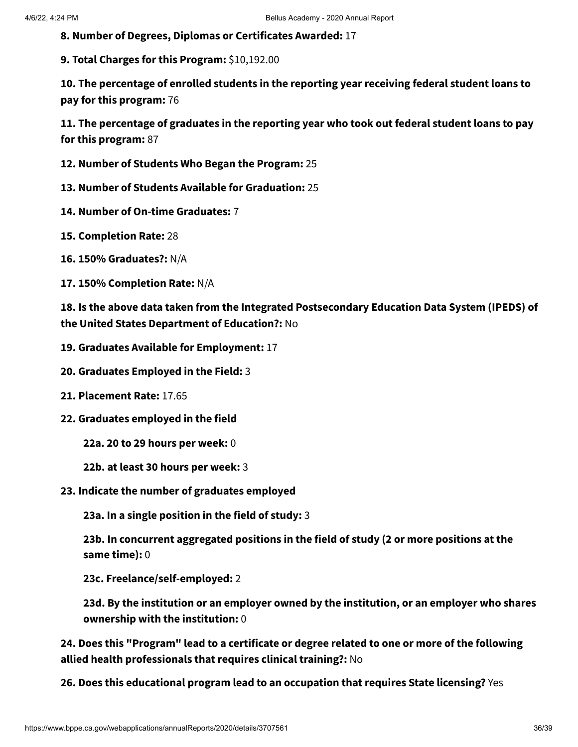**8. Number of Degrees, Diplomas or Certificates Awarded:** 17

**9. Total Charges for this Program:** \$10,192.00

**10. The percentage of enrolled students in the reporting year receiving federal student loans to pay for this program:** 76

**11. The percentage of graduates in the reporting year who took out federal student loans to pay for this program:** 87

- **12. Number of Students Who Began the Program:** 25
- **13. Number of Students Available for Graduation:** 25
- **14. Number of On-time Graduates:** 7
- **15. Completion Rate:** 28
- **16. 150% Graduates?:** N/A
- **17. 150% Completion Rate:** N/A

**18. Is the above data taken from the Integrated Postsecondary Education Data System (IPEDS) of the United States Department of Education?:** No

- **19. Graduates Available for Employment:** 17
- **20. Graduates Employed in the Field:** 3
- **21. Placement Rate:** 17.65
- **22. Graduates employed in the field**
	- **22a. 20 to 29 hours per week:** 0
	- **22b. at least 30 hours per week:** 3
- **23. Indicate the number of graduates employed**

**23a. In a single position in the field of study:** 3

**23b. In concurrent aggregated positions in the field of study (2 or more positions at the same time):** 0

**23c. Freelance/self-employed:** 2

**23d. By the institution or an employer owned by the institution, or an employer who shares ownership with the institution:** 0

**24. Does this "Program" lead to a certificate or degree related to one or more of the following allied health professionals that requires clinical training?:** No

**26. Does this educational program lead to an occupation that requires State licensing?** Yes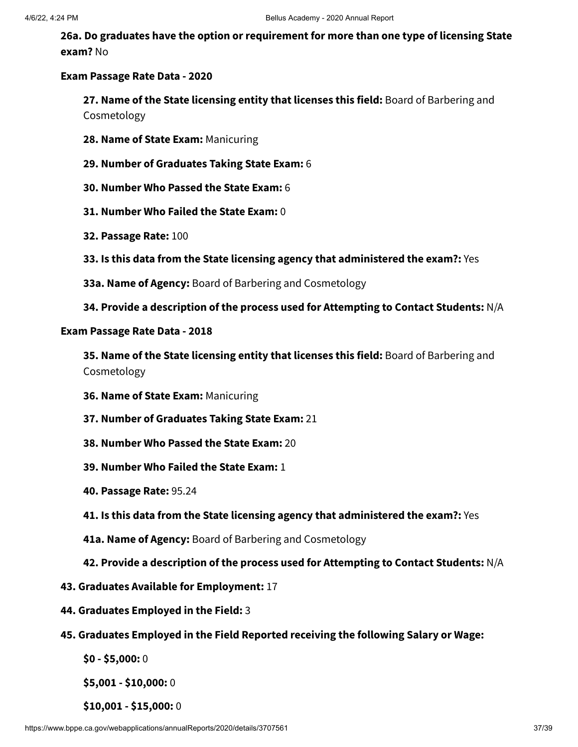**26a. Do graduates have the option or requirement for more than one type of licensing State exam?** No

#### **Exam Passage Rate Data - 2020**

**27. Name of the State licensing entity that licenses this field:** Board of Barbering and Cosmetology

- **28. Name of State Exam:** Manicuring
- **29. Number of Graduates Taking State Exam:** 6
- **30. Number Who Passed the State Exam:** 6
- **31. Number Who Failed the State Exam:** 0
- **32. Passage Rate:** 100
- **33. Is this data from the State licensing agency that administered the exam?:** Yes
- **33a. Name of Agency:** Board of Barbering and Cosmetology
- **34. Provide a description of the process used for Attempting to Contact Students:** N/A

#### **Exam Passage Rate Data - 2018**

**35. Name of the State licensing entity that licenses this field:** Board of Barbering and Cosmetology

- **36. Name of State Exam:** Manicuring
- **37. Number of Graduates Taking State Exam:** 21
- **38. Number Who Passed the State Exam:** 20
- **39. Number Who Failed the State Exam:** 1
- **40. Passage Rate:** 95.24
- **41. Is this data from the State licensing agency that administered the exam?:** Yes
- **41a. Name of Agency:** Board of Barbering and Cosmetology
- **42. Provide a description of the process used for Attempting to Contact Students:** N/A
- **43. Graduates Available for Employment:** 17
- **44. Graduates Employed in the Field:** 3
- **45. Graduates Employed in the Field Reported receiving the following Salary or Wage:**

**\$0 - \$5,000:** 0

**\$5,001 - \$10,000:** 0

**\$10,001 - \$15,000:** 0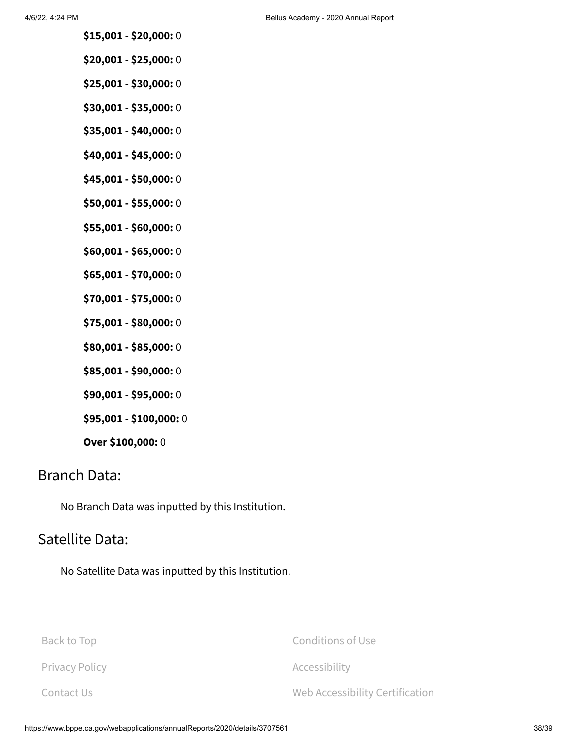- **\$15,001 - \$20,000:** 0
- **\$20,001 - \$25,000:** 0
- **\$25,001 - \$30,000:** 0
- **\$30,001 - \$35,000:** 0
- **\$35,001 - \$40,000:** 0
- **\$40,001 - \$45,000:** 0
- **\$45,001 - \$50,000:** 0
- **\$50,001 - \$55,000:** 0
- **\$55,001 - \$60,000:** 0
- **\$60,001 - \$65,000:** 0
- **\$65,001 - \$70,000:** 0
- **\$70,001 - \$75,000:** 0
- **\$75,001 - \$80,000:** 0
- **\$80,001 - \$85,000:** 0
- **\$85,001 - \$90,000:** 0
- **\$90,001 - \$95,000:** 0
- **\$95,001 - \$100,000:** 0
- **Over \$100,000:** 0

## Branch Data:

No Branch Data was inputted by this Institution.

# Satellite Data:

No Satellite Data was inputted by this Institution.

| Back to Top           | Conditions of Use               |
|-----------------------|---------------------------------|
| <b>Privacy Policy</b> | Accessibility                   |
| Contact Us            | Web Accessibility Certification |